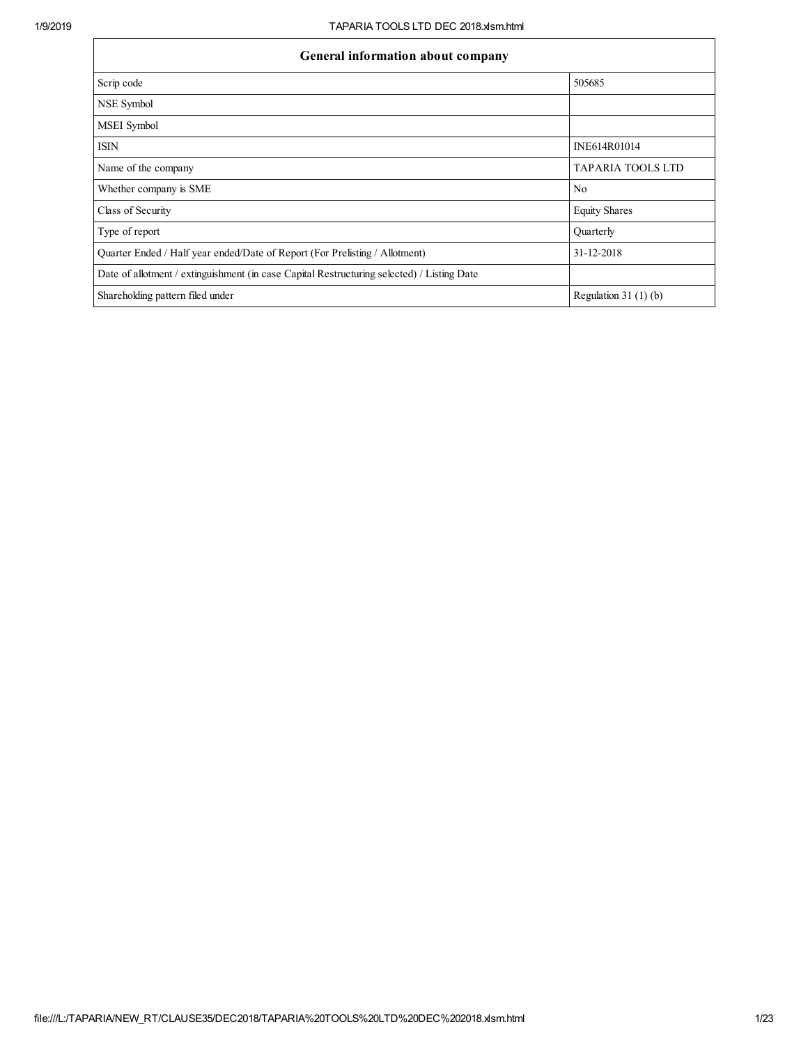| General information about company                                                          |                          |  |  |  |  |  |  |
|--------------------------------------------------------------------------------------------|--------------------------|--|--|--|--|--|--|
| Scrip code                                                                                 | 505685                   |  |  |  |  |  |  |
| NSE Symbol                                                                                 |                          |  |  |  |  |  |  |
| MSEI Symbol                                                                                |                          |  |  |  |  |  |  |
| <b>ISIN</b>                                                                                | INE614R01014             |  |  |  |  |  |  |
| Name of the company                                                                        | <b>TAPARIA TOOLS LTD</b> |  |  |  |  |  |  |
| Whether company is SME                                                                     | N <sub>0</sub>           |  |  |  |  |  |  |
| Class of Security                                                                          | <b>Equity Shares</b>     |  |  |  |  |  |  |
| Type of report                                                                             | Quarterly                |  |  |  |  |  |  |
| Quarter Ended / Half year ended/Date of Report (For Prelisting / Allotment)                | 31-12-2018               |  |  |  |  |  |  |
| Date of allotment / extinguishment (in case Capital Restructuring selected) / Listing Date |                          |  |  |  |  |  |  |
| Shareholding pattern filed under                                                           | Regulation $31(1)(b)$    |  |  |  |  |  |  |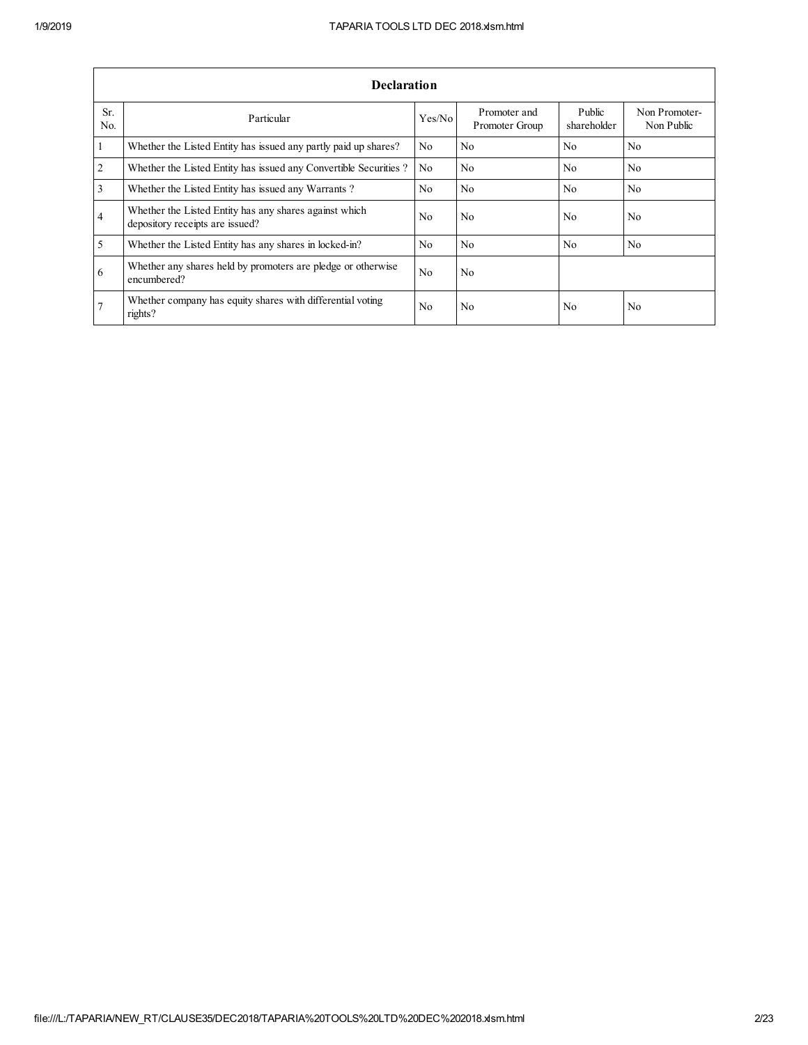|                       | <b>Declaration</b>                                                                        |                |                                |                       |                             |  |  |  |  |  |  |  |
|-----------------------|-------------------------------------------------------------------------------------------|----------------|--------------------------------|-----------------------|-----------------------------|--|--|--|--|--|--|--|
| Sr.<br>N <sub>0</sub> | Particular                                                                                | Yes/No         | Promoter and<br>Promoter Group | Public<br>shareholder | Non Promoter-<br>Non Public |  |  |  |  |  |  |  |
| 1                     | Whether the Listed Entity has issued any partly paid up shares?                           | No.            | No                             | N <sub>0</sub>        | N <sub>0</sub>              |  |  |  |  |  |  |  |
| $\overline{2}$        | Whether the Listed Entity has issued any Convertible Securities?                          | N <sub>0</sub> | N <sub>0</sub>                 | N <sub>0</sub>        | N <sub>0</sub>              |  |  |  |  |  |  |  |
| 3                     | Whether the Listed Entity has issued any Warrants?                                        | No.            | N <sub>0</sub>                 | N <sub>0</sub>        | N <sub>0</sub>              |  |  |  |  |  |  |  |
| $\overline{4}$        | Whether the Listed Entity has any shares against which<br>depository receipts are issued? | No             | N <sub>0</sub>                 | N <sub>0</sub>        | N <sub>0</sub>              |  |  |  |  |  |  |  |
| 5                     | Whether the Listed Entity has any shares in locked-in?                                    | No.            | N <sub>0</sub>                 | N <sub>0</sub>        | N <sub>0</sub>              |  |  |  |  |  |  |  |
| 6                     | Whether any shares held by promoters are pledge or otherwise<br>encumbered?               | No.            | N <sub>0</sub>                 |                       |                             |  |  |  |  |  |  |  |
|                       | Whether company has equity shares with differential voting<br>rights?                     | No             | N <sub>0</sub>                 | No                    | N <sub>0</sub>              |  |  |  |  |  |  |  |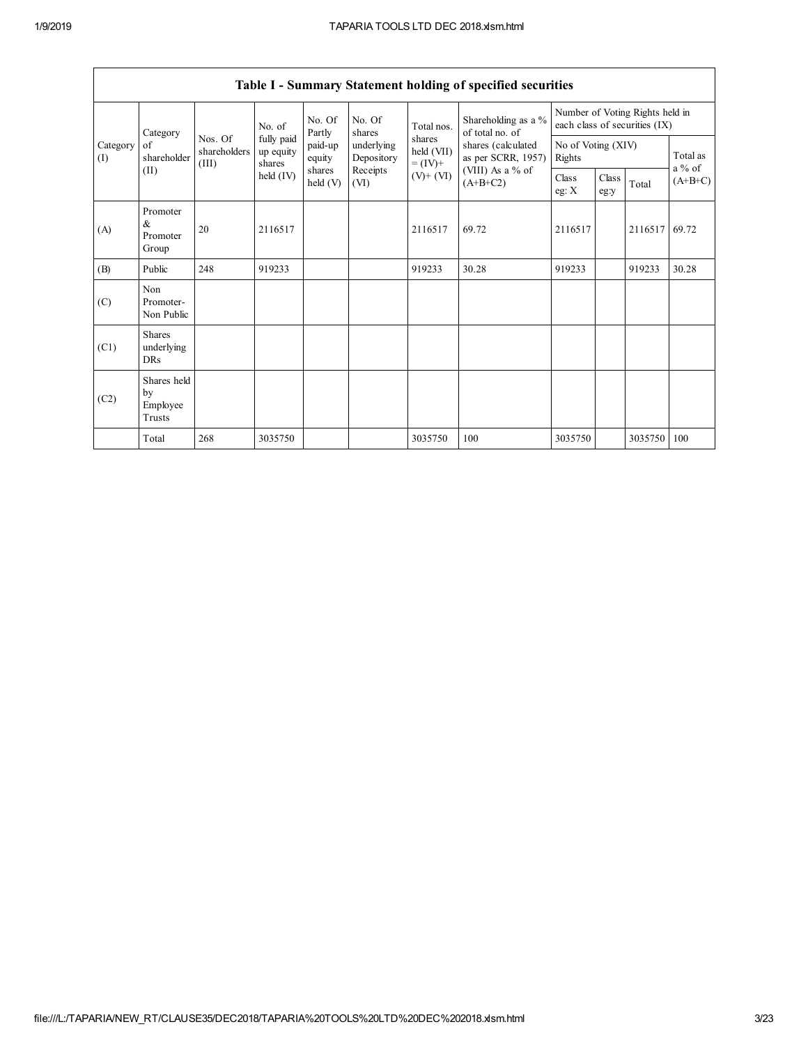|                 | Table I - Summary Statement holding of specified securities |                                  |                                   |                      |                          |                                    |                                                                            |                                                                  |               |         |                      |  |
|-----------------|-------------------------------------------------------------|----------------------------------|-----------------------------------|----------------------|--------------------------|------------------------------------|----------------------------------------------------------------------------|------------------------------------------------------------------|---------------|---------|----------------------|--|
|                 | Category<br>of<br>shareholder                               |                                  | No. of                            | No. Of<br>Partly     | No. Of<br>shares         | Total nos.                         | Shareholding as a %<br>of total no. of                                     | Number of Voting Rights held in<br>each class of securities (IX) |               |         |                      |  |
| Category<br>(I) |                                                             | Nos. Of<br>shareholders<br>(III) | fully paid<br>up equity<br>shares | paid-up<br>equity    | underlying<br>Depository | shares<br>held (VII)<br>$= (IV) +$ | shares (calculated<br>as per SCRR, 1957)<br>(VIII) As a % of<br>$(A+B+C2)$ | No of Voting (XIV)<br>Rights                                     |               |         | Total as<br>$a\%$ of |  |
|                 | (II)                                                        |                                  | held (IV)                         | shares<br>held $(V)$ | Receipts<br>(VI)         | $(V)$ + $(VI)$                     |                                                                            | Class<br>eg: $X$                                                 | Class<br>eg:y | Total   | $(A+B+C)$            |  |
| (A)             | Promoter<br>&<br>Promoter<br>Group                          | 20                               | 2116517                           |                      |                          | 2116517                            | 69.72                                                                      | 2116517                                                          |               | 2116517 | 69.72                |  |
| (B)             | Public                                                      | 248                              | 919233                            |                      |                          | 919233                             | 30.28                                                                      | 919233                                                           |               | 919233  | 30.28                |  |
| (C)             | Non<br>Promoter-<br>Non Public                              |                                  |                                   |                      |                          |                                    |                                                                            |                                                                  |               |         |                      |  |
| (C1)            | <b>Shares</b><br>underlying<br><b>DRs</b>                   |                                  |                                   |                      |                          |                                    |                                                                            |                                                                  |               |         |                      |  |
| (C2)            | Shares held<br>by<br>Employee<br>Trusts                     |                                  |                                   |                      |                          |                                    |                                                                            |                                                                  |               |         |                      |  |
|                 | Total                                                       | 268                              | 3035750                           |                      |                          | 3035750                            | 100                                                                        | 3035750                                                          |               | 3035750 | 100                  |  |

 $\Gamma$ 

٦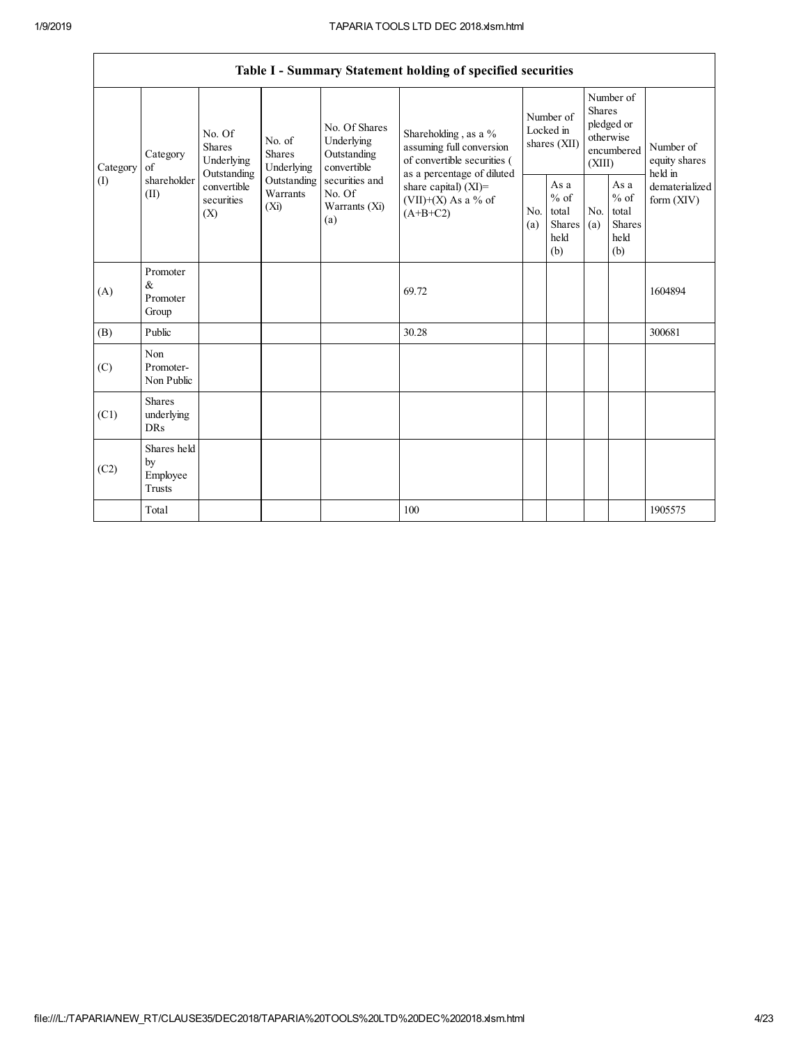$\overline{\phantom{a}}$ 

|                                           |                                           |                                                                                       |                                       |                                                           | Table I - Summary Statement holding of specified securities                                  |                       |                                                          |                       |                                                                               |                                       |
|-------------------------------------------|-------------------------------------------|---------------------------------------------------------------------------------------|---------------------------------------|-----------------------------------------------------------|----------------------------------------------------------------------------------------------|-----------------------|----------------------------------------------------------|-----------------------|-------------------------------------------------------------------------------|---------------------------------------|
| Category<br>Category<br>of<br>(1)<br>(II) | No. Of<br><b>Shares</b><br>Underlying     |                                                                                       | No. of<br><b>Shares</b><br>Underlying | No. Of Shares<br>Underlying<br>Outstanding<br>convertible | Shareholding, as a %<br>assuming full conversion<br>of convertible securities (              |                       | Number of<br>Locked in<br>shares (XII)                   |                       | Number of<br><b>Shares</b><br>pledged or<br>otherwise<br>encumbered<br>(XIII) | Number of<br>equity shares<br>held in |
|                                           | shareholder                               | Outstanding<br>Outstanding<br>convertible<br>Warrants<br>securities<br>$(X_i)$<br>(X) |                                       | securities and<br>No. Of<br>Warrants (Xi)<br>(a)          | as a percentage of diluted<br>share capital) $(XI)$ =<br>$(VII)+(X)$ As a % of<br>$(A+B+C2)$ | N <sub>0</sub><br>(a) | As a<br>$\%$ of<br>total<br><b>Shares</b><br>held<br>(b) | N <sub>0</sub><br>(a) | As a<br>$%$ of<br>total<br><b>Shares</b><br>held<br>(b)                       | dematerialized<br>form $(XIV)$        |
| (A)                                       | Promoter<br>&<br>Promoter<br>Group        |                                                                                       |                                       |                                                           | 69.72                                                                                        |                       |                                                          |                       |                                                                               | 1604894                               |
| (B)                                       | Public                                    |                                                                                       |                                       |                                                           | 30.28                                                                                        |                       |                                                          |                       |                                                                               | 300681                                |
| (C)                                       | Non<br>Promoter-<br>Non Public            |                                                                                       |                                       |                                                           |                                                                                              |                       |                                                          |                       |                                                                               |                                       |
| (C1)                                      | <b>Shares</b><br>underlying<br><b>DRs</b> |                                                                                       |                                       |                                                           |                                                                                              |                       |                                                          |                       |                                                                               |                                       |
| (C2)                                      | Shares held<br>by<br>Employee<br>Trusts   |                                                                                       |                                       |                                                           |                                                                                              |                       |                                                          |                       |                                                                               |                                       |
|                                           | Total                                     |                                                                                       |                                       |                                                           | 100                                                                                          |                       |                                                          |                       |                                                                               | 1905575                               |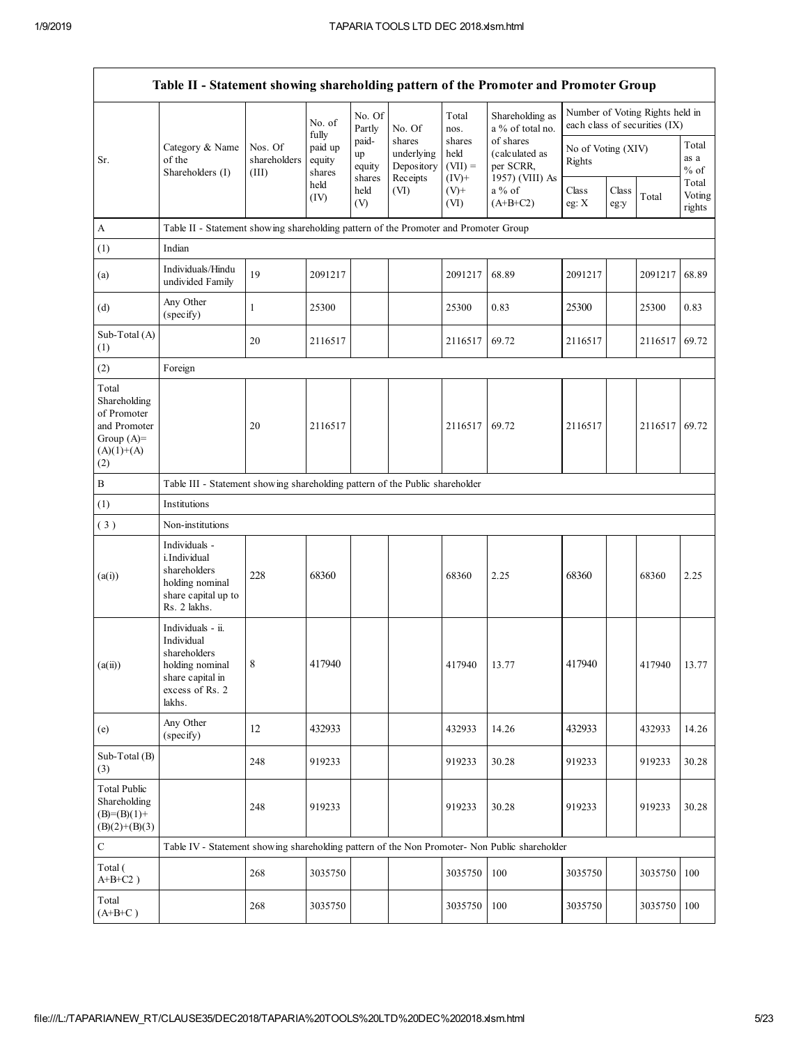| Table II - Statement showing shareholding pattern of the Promoter and Promoter Group        |                                                                                                                     |                                  |                                      |                                 |                                                |                                         |                                                             |                              |               |                                                                  |                           |
|---------------------------------------------------------------------------------------------|---------------------------------------------------------------------------------------------------------------------|----------------------------------|--------------------------------------|---------------------------------|------------------------------------------------|-----------------------------------------|-------------------------------------------------------------|------------------------------|---------------|------------------------------------------------------------------|---------------------------|
|                                                                                             |                                                                                                                     |                                  | No. of                               | No. Of<br>Partly                | No. Of                                         | Total<br>nos.                           | Shareholding as<br>a % of total no.                         |                              |               | Number of Voting Rights held in<br>each class of securities (IX) |                           |
| Sr.                                                                                         | Category & Name<br>of the<br>Shareholders (I)                                                                       | Nos. Of<br>shareholders<br>(III) | fully<br>paid up<br>equity<br>shares | paid-<br>up<br>equity<br>shares | shares<br>underlying<br>Depository<br>Receipts | shares<br>held<br>$(VII) =$<br>$(IV)^+$ | of shares<br>(calculated as<br>per SCRR,<br>1957) (VIII) As | No of Voting (XIV)<br>Rights |               |                                                                  | Total<br>as a<br>$%$ of   |
|                                                                                             |                                                                                                                     |                                  | held<br>(IV)                         | held<br>(V)                     | (VI)                                           | $(V)+$<br>(VI)                          | a % of<br>$(A+B+C2)$                                        | Class<br>eg: $X$             | Class<br>eg:y | Total                                                            | Total<br>Voting<br>rights |
| A                                                                                           | Table II - Statement showing shareholding pattern of the Promoter and Promoter Group                                |                                  |                                      |                                 |                                                |                                         |                                                             |                              |               |                                                                  |                           |
| (1)                                                                                         | Indian                                                                                                              |                                  |                                      |                                 |                                                |                                         |                                                             |                              |               |                                                                  |                           |
| (a)                                                                                         | Individuals/Hindu<br>undivided Family                                                                               | 19                               | 2091217                              |                                 |                                                | 2091217                                 | 68.89                                                       | 2091217                      |               | 2091217                                                          | 68.89                     |
| (d)                                                                                         | Any Other<br>(specify)                                                                                              | $\mathbf{1}$                     | 25300                                |                                 |                                                | 25300                                   | 0.83                                                        | 25300                        |               | 25300                                                            | 0.83                      |
| Sub-Total (A)<br>(1)                                                                        |                                                                                                                     | 20                               | 2116517                              |                                 |                                                | 2116517                                 | 69.72                                                       | 2116517                      |               | 2116517                                                          | 69.72                     |
| (2)                                                                                         | Foreign                                                                                                             |                                  |                                      |                                 |                                                |                                         |                                                             |                              |               |                                                                  |                           |
| Total<br>Shareholding<br>of Promoter<br>and Promoter<br>Group $(A)=$<br>$(A)(1)+(A)$<br>(2) |                                                                                                                     | 20                               | 2116517                              |                                 |                                                | 2116517                                 | 69.72                                                       | 2116517                      |               | 2116517                                                          | 69.72                     |
| B                                                                                           | Table III - Statement showing shareholding pattern of the Public shareholder                                        |                                  |                                      |                                 |                                                |                                         |                                                             |                              |               |                                                                  |                           |
| (1)                                                                                         | Institutions                                                                                                        |                                  |                                      |                                 |                                                |                                         |                                                             |                              |               |                                                                  |                           |
| (3)                                                                                         | Non-institutions                                                                                                    |                                  |                                      |                                 |                                                |                                         |                                                             |                              |               |                                                                  |                           |
| (a(i))                                                                                      | Individuals -<br>i.Individual<br>shareholders<br>holding nominal<br>share capital up to<br>Rs. 2 lakhs.             | 228                              | 68360                                |                                 |                                                | 68360                                   | 2.25                                                        | 68360                        |               | 68360                                                            | 2.25                      |
| (a(ii))                                                                                     | Individuals - ii.<br>Individual<br>shareholders<br>holding nominal<br>share capital in<br>excess of Rs. 2<br>lakhs. | $\,$ 8 $\,$                      | 417940                               |                                 |                                                | 417940                                  | 13.77                                                       | 417940                       |               | 417940                                                           | 13.77                     |
| (e)                                                                                         | Any Other<br>(specify)                                                                                              | 12                               | 432933                               |                                 |                                                | 432933                                  | 14.26                                                       | 432933                       |               | 432933                                                           | 14.26                     |
| Sub-Total (B)<br>(3)                                                                        |                                                                                                                     | 248                              | 919233                               |                                 |                                                | 919233                                  | 30.28                                                       | 919233                       |               | 919233                                                           | 30.28                     |
| <b>Total Public</b><br>Shareholding<br>$(B)=(B)(1)+$<br>$(B)(2)+(B)(3)$                     |                                                                                                                     | 248                              | 919233                               |                                 |                                                | 919233                                  | 30.28                                                       | 919233                       |               | 919233                                                           | 30.28                     |
| $\mathbf C$                                                                                 | Table IV - Statement showing shareholding pattern of the Non Promoter- Non Public shareholder                       |                                  |                                      |                                 |                                                |                                         |                                                             |                              |               |                                                                  |                           |
| Total (<br>$A+B+C2$ )                                                                       |                                                                                                                     | 268                              | 3035750                              |                                 |                                                | 3035750                                 | 100                                                         | 3035750                      |               | 3035750                                                          | 100                       |
| Total<br>$(A+B+C)$                                                                          |                                                                                                                     | 268                              | 3035750                              |                                 |                                                | 3035750                                 | 100                                                         | 3035750                      |               | 3035750                                                          | 100                       |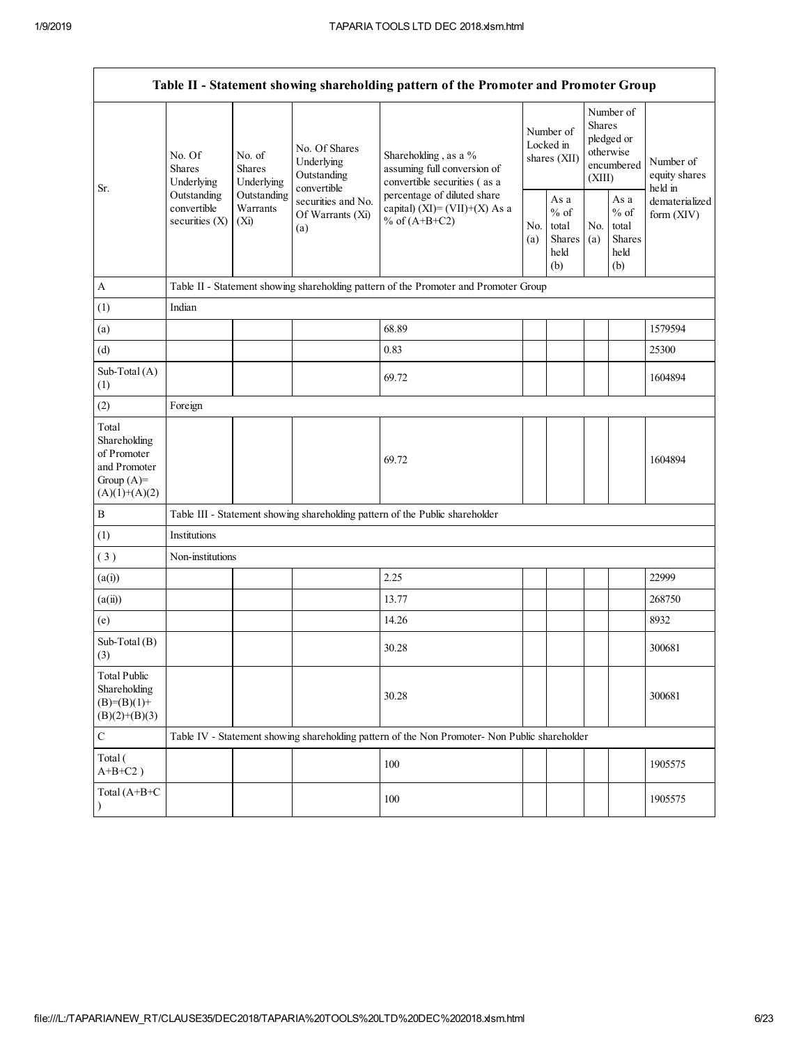|                                                                                         |                                                                                |                                                                                      |                                                           | Table II - Statement showing shareholding pattern of the Promoter and Promoter Group          |                                        |                                                  |                                                                               |                                                  |                                       |  |  |  |
|-----------------------------------------------------------------------------------------|--------------------------------------------------------------------------------|--------------------------------------------------------------------------------------|-----------------------------------------------------------|-----------------------------------------------------------------------------------------------|----------------------------------------|--------------------------------------------------|-------------------------------------------------------------------------------|--------------------------------------------------|---------------------------------------|--|--|--|
| Sr.                                                                                     | No. Of<br>No. of<br><b>Shares</b><br><b>Shares</b><br>Underlying<br>Underlying |                                                                                      | No. Of Shares<br>Underlying<br>Outstanding<br>convertible | Shareholding, as a %<br>assuming full conversion of<br>convertible securities (as a           | Number of<br>Locked in<br>shares (XII) |                                                  | Number of<br><b>Shares</b><br>pledged or<br>otherwise<br>encumbered<br>(XIII) |                                                  | Number of<br>equity shares<br>held in |  |  |  |
|                                                                                         | Outstanding<br>convertible<br>securities $(X)$                                 | Outstanding<br>Warrants<br>$(X_i)$                                                   | securities and No.<br>Of Warrants (Xi)<br>(a)             | percentage of diluted share<br>capital) (XI)= $(VII)+(X)$ As a<br>% of $(A+B+C2)$             |                                        | As a<br>$%$ of<br>total<br>Shares<br>held<br>(b) | No.<br>(a)                                                                    | As a<br>$%$ of<br>total<br>Shares<br>held<br>(b) | dematerialized<br>form (XIV)          |  |  |  |
| $\mathbf{A}$                                                                            |                                                                                | Table II - Statement showing shareholding pattern of the Promoter and Promoter Group |                                                           |                                                                                               |                                        |                                                  |                                                                               |                                                  |                                       |  |  |  |
| (1)                                                                                     | Indian                                                                         |                                                                                      |                                                           |                                                                                               |                                        |                                                  |                                                                               |                                                  |                                       |  |  |  |
| (a)                                                                                     |                                                                                |                                                                                      |                                                           | 68.89                                                                                         |                                        |                                                  |                                                                               |                                                  | 1579594                               |  |  |  |
| (d)                                                                                     |                                                                                |                                                                                      |                                                           | 0.83                                                                                          |                                        |                                                  |                                                                               |                                                  | 25300                                 |  |  |  |
| Sub-Total (A)<br>(1)                                                                    |                                                                                |                                                                                      |                                                           | 69.72                                                                                         |                                        |                                                  |                                                                               |                                                  | 1604894                               |  |  |  |
| (2)                                                                                     | Foreign                                                                        |                                                                                      |                                                           |                                                                                               |                                        |                                                  |                                                                               |                                                  |                                       |  |  |  |
| Total<br>Shareholding<br>of Promoter<br>and Promoter<br>Group $(A)=$<br>$(A)(1)+(A)(2)$ |                                                                                |                                                                                      |                                                           | 69.72                                                                                         |                                        |                                                  |                                                                               |                                                  | 1604894                               |  |  |  |
| $\, {\bf B}$                                                                            |                                                                                |                                                                                      |                                                           | Table III - Statement showing shareholding pattern of the Public shareholder                  |                                        |                                                  |                                                                               |                                                  |                                       |  |  |  |
| (1)                                                                                     | Institutions                                                                   |                                                                                      |                                                           |                                                                                               |                                        |                                                  |                                                                               |                                                  |                                       |  |  |  |
| (3)                                                                                     | Non-institutions                                                               |                                                                                      |                                                           |                                                                                               |                                        |                                                  |                                                                               |                                                  |                                       |  |  |  |
| (a(i))                                                                                  |                                                                                |                                                                                      |                                                           | 2.25                                                                                          |                                        |                                                  |                                                                               |                                                  | 22999                                 |  |  |  |
| (a(ii))                                                                                 |                                                                                |                                                                                      |                                                           | 13.77                                                                                         |                                        |                                                  |                                                                               |                                                  | 268750                                |  |  |  |
| (e)                                                                                     |                                                                                |                                                                                      |                                                           | 14.26                                                                                         |                                        |                                                  |                                                                               |                                                  | 8932                                  |  |  |  |
| Sub-Total (B)<br>(3)                                                                    |                                                                                |                                                                                      |                                                           | 30.28                                                                                         |                                        |                                                  |                                                                               |                                                  | 300681                                |  |  |  |
| <b>Total Public</b><br>Shareholding<br>$(B)= (B)(1) +$<br>$(B)(2)+(B)(3)$               |                                                                                |                                                                                      |                                                           | 30.28                                                                                         |                                        |                                                  |                                                                               |                                                  | 300681                                |  |  |  |
| $\mathsf C$                                                                             |                                                                                |                                                                                      |                                                           | Table IV - Statement showing shareholding pattern of the Non Promoter- Non Public shareholder |                                        |                                                  |                                                                               |                                                  |                                       |  |  |  |
| Total (<br>$A+B+C2$ )                                                                   |                                                                                |                                                                                      |                                                           | 100                                                                                           |                                        |                                                  |                                                                               |                                                  | 1905575                               |  |  |  |
| Total (A+B+C<br>$\lambda$                                                               |                                                                                |                                                                                      |                                                           | 100                                                                                           |                                        |                                                  |                                                                               |                                                  | 1905575                               |  |  |  |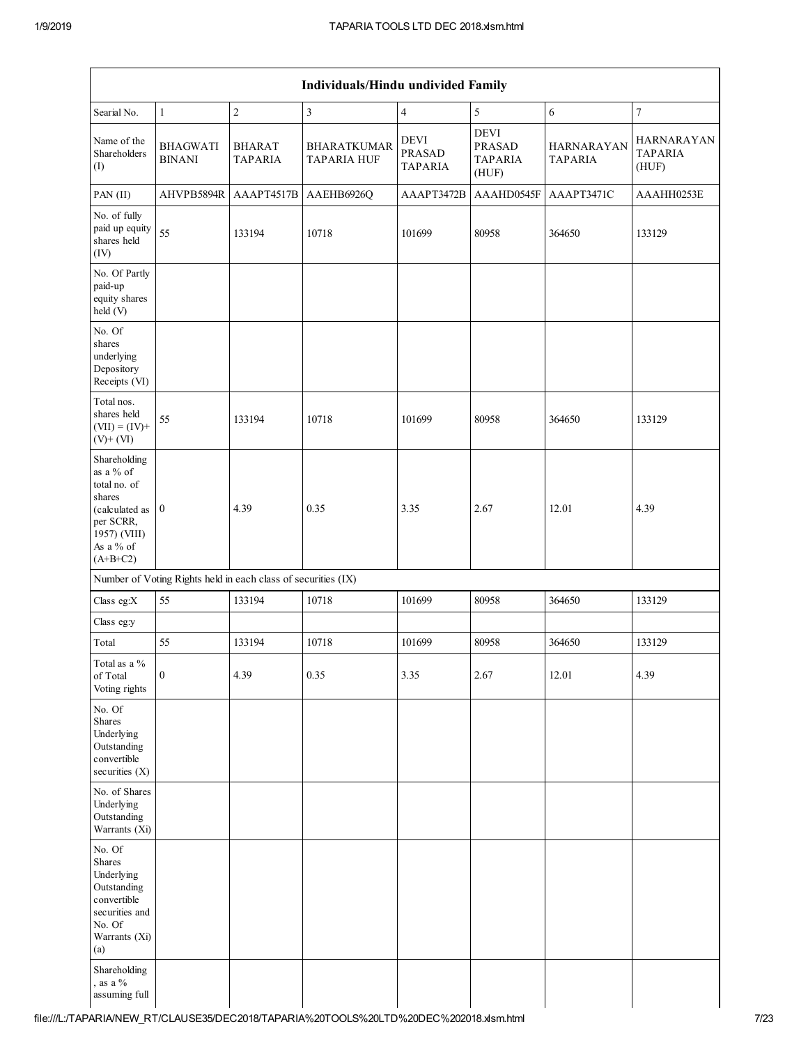|                                                                                                                                 |                                                               |                                 | Individuals/Hindu undivided Family       |                                                |                                                         |                              |                                              |
|---------------------------------------------------------------------------------------------------------------------------------|---------------------------------------------------------------|---------------------------------|------------------------------------------|------------------------------------------------|---------------------------------------------------------|------------------------------|----------------------------------------------|
| Searial No.                                                                                                                     | $\mathbf{1}$                                                  | $\sqrt{2}$                      | $\overline{3}$                           | $\overline{4}$                                 | 5                                                       | 6                            | $\overline{7}$                               |
| Name of the<br>Shareholders<br>(I)                                                                                              | <b>BHAGWATI</b><br><b>BINANI</b>                              | <b>BHARAT</b><br><b>TAPARIA</b> | <b>BHARATKUMAR</b><br><b>TAPARIA HUF</b> | <b>DEVI</b><br><b>PRASAD</b><br><b>TAPARIA</b> | <b>DEVI</b><br><b>PRASAD</b><br><b>TAPARIA</b><br>(HUF) | HARNARAYAN<br><b>TAPARIA</b> | <b>HARNARAYAN</b><br><b>TAPARIA</b><br>(HUF) |
| PAN(II)                                                                                                                         | AHVPB5894R                                                    | AAAPT4517B                      | AAEHB6926Q                               | AAAPT3472B                                     | AAAHD0545F                                              | AAAPT3471C                   | AAAHH0253E                                   |
| No. of fully<br>paid up equity<br>shares held<br>(IV)                                                                           | 55                                                            | 133194                          | 10718                                    | 101699                                         | 80958                                                   | 364650                       | 133129                                       |
| No. Of Partly<br>paid-up<br>equity shares<br>held (V)                                                                           |                                                               |                                 |                                          |                                                |                                                         |                              |                                              |
| No. Of<br>shares<br>underlying<br>Depository<br>Receipts (VI)                                                                   |                                                               |                                 |                                          |                                                |                                                         |                              |                                              |
| Total nos.<br>shares held<br>$(VII) = (IV) +$<br>$(V)$ + $(VI)$                                                                 | 55                                                            | 133194                          | 10718                                    | 101699                                         | 80958                                                   | 364650                       | 133129                                       |
| Shareholding<br>as a % of<br>total no. of<br>shares<br>(calculated as 0<br>per SCRR,<br>1957) (VIII)<br>As a % of<br>$(A+B+C2)$ |                                                               | 4.39                            | 0.35                                     | 3.35                                           | 2.67                                                    | 12.01                        | 4.39                                         |
|                                                                                                                                 | Number of Voting Rights held in each class of securities (IX) |                                 |                                          |                                                |                                                         |                              |                                              |
| Class eg:X                                                                                                                      | 55                                                            | 133194                          | 10718                                    | 101699                                         | 80958                                                   | 364650                       | 133129                                       |
| Class eg:y                                                                                                                      |                                                               |                                 |                                          |                                                |                                                         |                              |                                              |
| Total                                                                                                                           | 55                                                            | 133194                          | 10718                                    | 101699                                         | 80958                                                   | 364650                       | 133129                                       |
| Total as a $\%$<br>of Total<br>Voting rights                                                                                    | $\mathbf{0}$                                                  | 4.39                            | 0.35                                     | 3.35                                           | 2.67                                                    | 12.01                        | 4.39                                         |
| No. Of<br>Shares<br>Underlying<br>Outstanding<br>convertible<br>securities (X)                                                  |                                                               |                                 |                                          |                                                |                                                         |                              |                                              |
| No. of Shares<br>Underlying<br>Outstanding<br>Warrants (Xi)                                                                     |                                                               |                                 |                                          |                                                |                                                         |                              |                                              |
| No. Of<br><b>Shares</b><br>Underlying<br>Outstanding<br>convertible<br>securities and<br>No. Of<br>Warrants (Xi)<br>(a)         |                                                               |                                 |                                          |                                                |                                                         |                              |                                              |
| Shareholding<br>, as a $%$<br>assuming full                                                                                     |                                                               |                                 |                                          |                                                |                                                         |                              |                                              |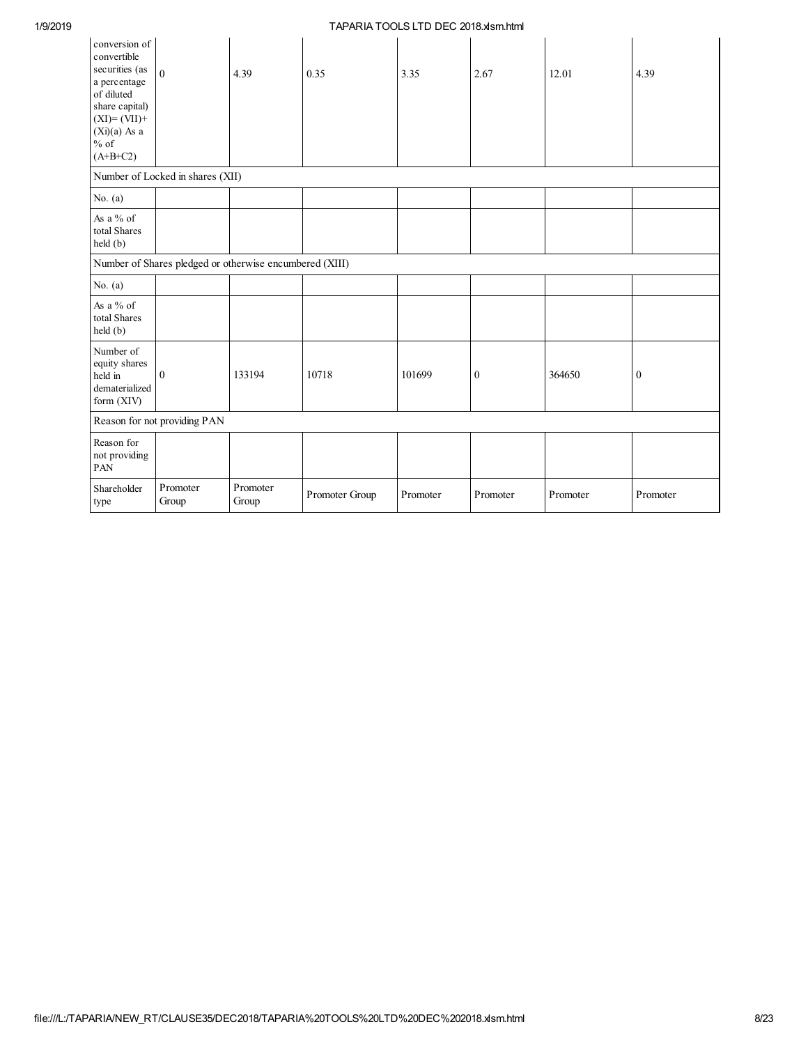| conversion of<br>convertible<br>securities (as<br>a percentage<br>of diluted<br>share capital)<br>$(XI)=(VII)+$<br>$(Xi)(a)$ As a<br>$\%$ of<br>$(A+B+C2)$ | $\boldsymbol{0}$                                        | 4.39              | 0.35           | 3.35     | 2.67             | 12.01    | 4.39             |  |  |  |  |
|------------------------------------------------------------------------------------------------------------------------------------------------------------|---------------------------------------------------------|-------------------|----------------|----------|------------------|----------|------------------|--|--|--|--|
| Number of Locked in shares (XII)                                                                                                                           |                                                         |                   |                |          |                  |          |                  |  |  |  |  |
| No. $(a)$                                                                                                                                                  |                                                         |                   |                |          |                  |          |                  |  |  |  |  |
| As a $%$ of<br>total Shares<br>held (b)                                                                                                                    |                                                         |                   |                |          |                  |          |                  |  |  |  |  |
|                                                                                                                                                            | Number of Shares pledged or otherwise encumbered (XIII) |                   |                |          |                  |          |                  |  |  |  |  |
| No. $(a)$                                                                                                                                                  |                                                         |                   |                |          |                  |          |                  |  |  |  |  |
| As a % of<br>total Shares<br>held (b)                                                                                                                      |                                                         |                   |                |          |                  |          |                  |  |  |  |  |
| Number of<br>equity shares<br>held in<br>dematerialized<br>form (XIV)                                                                                      | $\mathbf{0}$                                            | 133194            | 10718          | 101699   | $\boldsymbol{0}$ | 364650   | $\boldsymbol{0}$ |  |  |  |  |
|                                                                                                                                                            | Reason for not providing PAN                            |                   |                |          |                  |          |                  |  |  |  |  |
| Reason for<br>not providing<br>PAN                                                                                                                         |                                                         |                   |                |          |                  |          |                  |  |  |  |  |
| Shareholder<br>type                                                                                                                                        | Promoter<br>Group                                       | Promoter<br>Group | Promoter Group | Promoter | Promoter         | Promoter | Promoter         |  |  |  |  |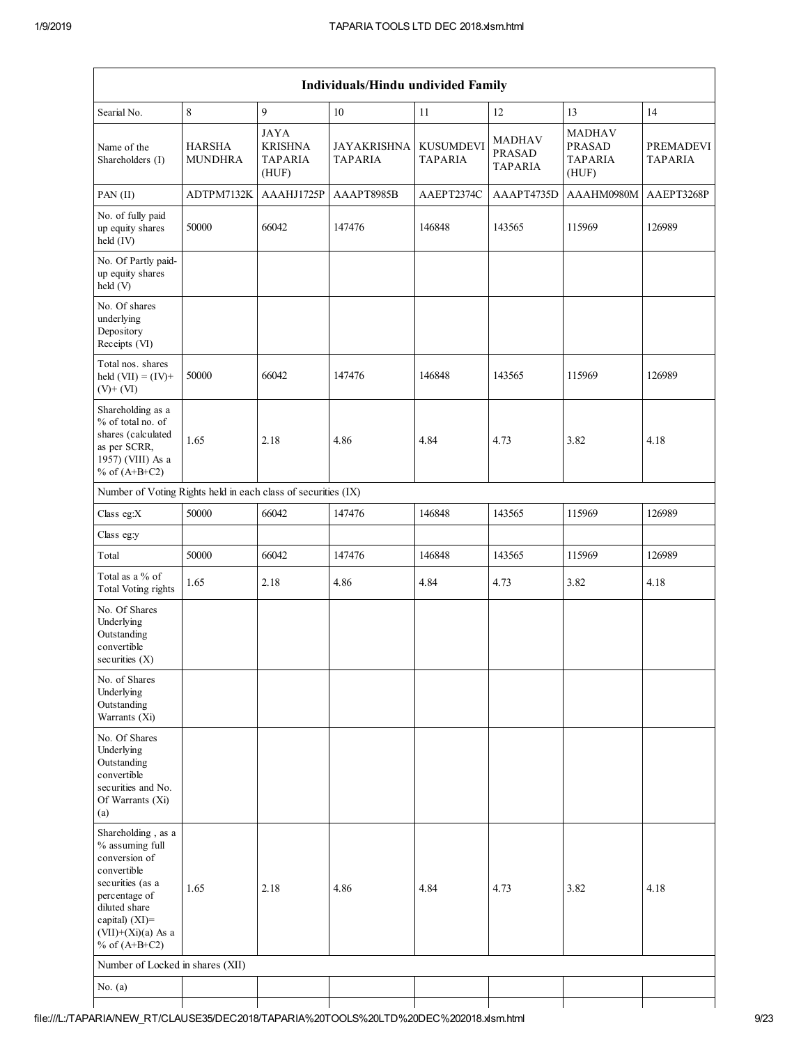|                                                                                                                                                                                             |                                                               |                                                          | Individuals/Hindu undivided Family |                                    |                                                  |                                                           |                                    |  |  |  |  |  |
|---------------------------------------------------------------------------------------------------------------------------------------------------------------------------------------------|---------------------------------------------------------------|----------------------------------------------------------|------------------------------------|------------------------------------|--------------------------------------------------|-----------------------------------------------------------|------------------------------------|--|--|--|--|--|
| Searial No.                                                                                                                                                                                 | $\,8\,$                                                       | 9                                                        | 10                                 | 11                                 | 12                                               | 13                                                        | 14                                 |  |  |  |  |  |
| Name of the<br>Shareholders (I)                                                                                                                                                             | <b>HARSHA</b><br><b>MUNDHRA</b>                               | <b>JAYA</b><br><b>KRISHNA</b><br><b>TAPARIA</b><br>(HUF) | JAYAKRISHNA<br><b>TAPARIA</b>      | <b>KUSUMDEVI</b><br><b>TAPARIA</b> | <b>MADHAV</b><br><b>PRASAD</b><br><b>TAPARIA</b> | <b>MADHAV</b><br><b>PRASAD</b><br><b>TAPARIA</b><br>(HUF) | <b>PREMADEVI</b><br><b>TAPARIA</b> |  |  |  |  |  |
| PAN (II)                                                                                                                                                                                    | ADTPM7132K                                                    | AAAHJ1725P                                               | AAAPT8985B                         | AAEPT2374C                         | AAAPT4735D                                       | AAAHM0980M                                                | AAEPT3268P                         |  |  |  |  |  |
| No. of fully paid<br>up equity shares<br>held (IV)                                                                                                                                          | 50000                                                         | 66042                                                    | 147476                             | 146848                             | 143565                                           | 115969                                                    | 126989                             |  |  |  |  |  |
| No. Of Partly paid-<br>up equity shares<br>held (V)                                                                                                                                         |                                                               |                                                          |                                    |                                    |                                                  |                                                           |                                    |  |  |  |  |  |
| No. Of shares<br>underlying<br>Depository<br>Receipts (VI)                                                                                                                                  |                                                               |                                                          |                                    |                                    |                                                  |                                                           |                                    |  |  |  |  |  |
| Total nos. shares<br>held $(VII) = (IV) +$<br>$(V)$ + $(VI)$                                                                                                                                | 50000                                                         | 66042                                                    | 147476                             | 146848                             | 143565                                           | 115969                                                    | 126989                             |  |  |  |  |  |
| Shareholding as a<br>% of total no. of<br>shares (calculated<br>as per SCRR,<br>1957) (VIII) As a<br>% of $(A+B+C2)$                                                                        | 1.65                                                          | 2.18                                                     | 4.86                               | 4.84                               | 4.73                                             | 3.82                                                      | 4.18                               |  |  |  |  |  |
|                                                                                                                                                                                             | Number of Voting Rights held in each class of securities (IX) |                                                          |                                    |                                    |                                                  |                                                           |                                    |  |  |  |  |  |
| Class eg:X                                                                                                                                                                                  | 50000                                                         | 66042                                                    | 147476                             | 146848                             | 143565                                           | 115969                                                    | 126989                             |  |  |  |  |  |
| Class eg:y                                                                                                                                                                                  |                                                               |                                                          |                                    |                                    |                                                  |                                                           |                                    |  |  |  |  |  |
| Total                                                                                                                                                                                       | 50000                                                         | 66042                                                    | 147476                             | 146848                             | 143565                                           | 115969                                                    | 126989                             |  |  |  |  |  |
| Total as a % of<br>Total Voting rights                                                                                                                                                      | 1.65                                                          | 2.18                                                     | 4.86                               | 4.84                               | 4.73                                             | 3.82                                                      | 4.18                               |  |  |  |  |  |
| No. Of Shares<br>Underlying<br>Outstanding<br>convertible<br>securities $(X)$                                                                                                               |                                                               |                                                          |                                    |                                    |                                                  |                                                           |                                    |  |  |  |  |  |
| No. of Shares<br>Underlying<br>Outstanding<br>Warrants (Xi)                                                                                                                                 |                                                               |                                                          |                                    |                                    |                                                  |                                                           |                                    |  |  |  |  |  |
| No. Of Shares<br>Underlying<br>Outstanding<br>convertible<br>securities and No.<br>Of Warrants (Xi)<br>(a)                                                                                  |                                                               |                                                          |                                    |                                    |                                                  |                                                           |                                    |  |  |  |  |  |
| Shareholding, as a<br>% assuming full<br>conversion of<br>convertible<br>securities (as a<br>percentage of<br>diluted share<br>capital) $(XI)$ =<br>$(VII)+(Xi)(a)$ As a<br>% of $(A+B+C2)$ | 1.65                                                          | 2.18                                                     | 4.86                               | 4.84                               | 4.73                                             | 3.82                                                      | 4.18                               |  |  |  |  |  |
| Number of Locked in shares (XII)                                                                                                                                                            |                                                               |                                                          |                                    |                                    |                                                  |                                                           |                                    |  |  |  |  |  |
| No. $(a)$                                                                                                                                                                                   |                                                               |                                                          |                                    |                                    |                                                  |                                                           |                                    |  |  |  |  |  |
|                                                                                                                                                                                             |                                                               |                                                          |                                    |                                    |                                                  |                                                           |                                    |  |  |  |  |  |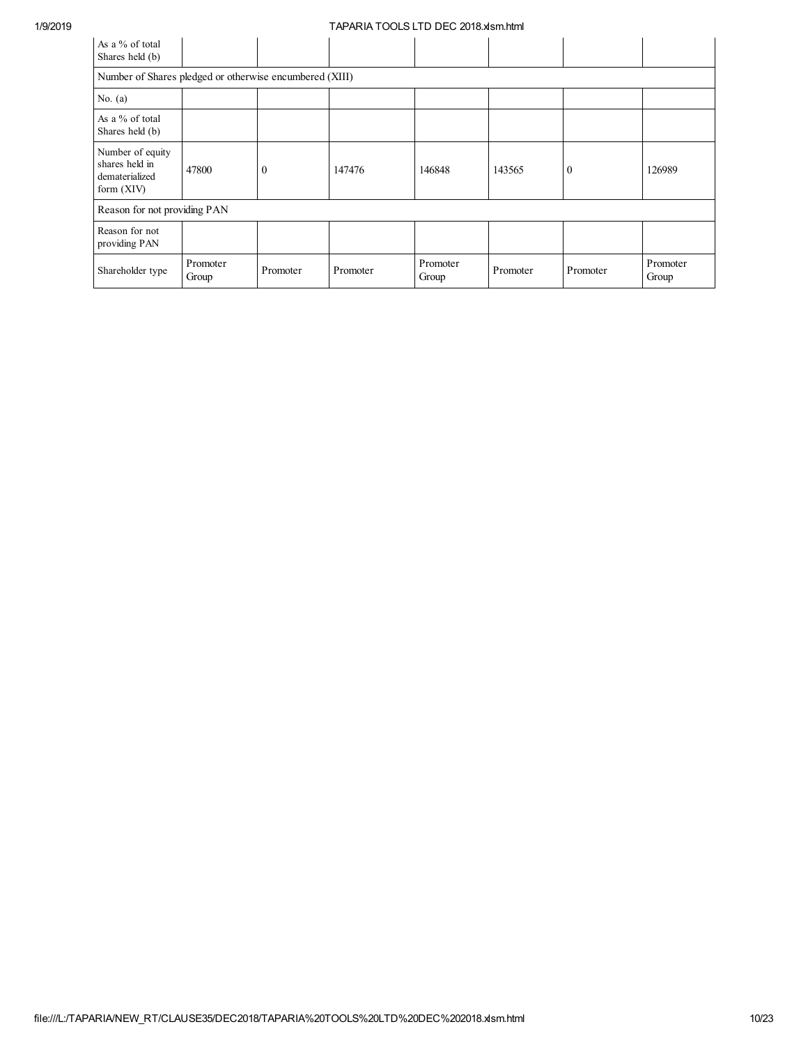| As a % of total<br>Shares held (b)                                 |                              |          |          |                   |          |              |                   |  |  |  |
|--------------------------------------------------------------------|------------------------------|----------|----------|-------------------|----------|--------------|-------------------|--|--|--|
| Number of Shares pledged or otherwise encumbered (XIII)            |                              |          |          |                   |          |              |                   |  |  |  |
| No. $(a)$                                                          |                              |          |          |                   |          |              |                   |  |  |  |
| As a % of total<br>Shares held (b)                                 |                              |          |          |                   |          |              |                   |  |  |  |
| Number of equity<br>shares held in<br>dematerialized<br>form (XIV) | 47800                        | $\theta$ | 147476   | 146848            | 143565   | $\mathbf{0}$ | 126989            |  |  |  |
|                                                                    | Reason for not providing PAN |          |          |                   |          |              |                   |  |  |  |
| Reason for not<br>providing PAN                                    |                              |          |          |                   |          |              |                   |  |  |  |
| Shareholder type                                                   | Promoter<br>Group            | Promoter | Promoter | Promoter<br>Group | Promoter | Promoter     | Promoter<br>Group |  |  |  |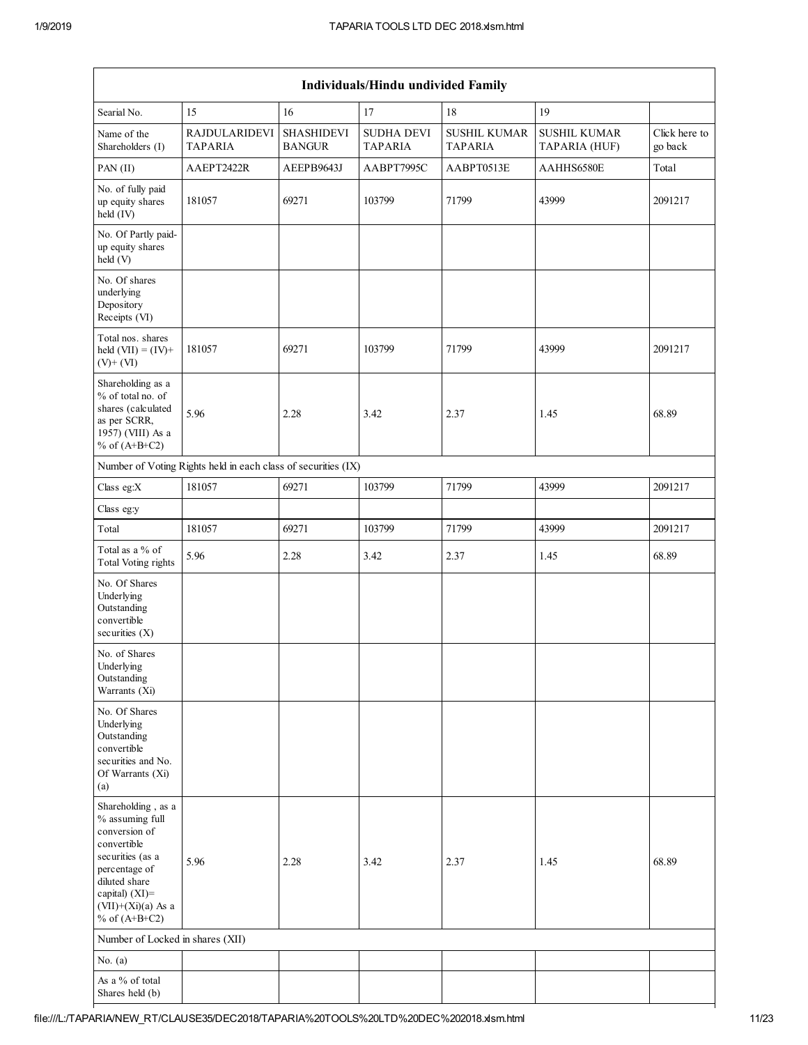|                                                                                                                                                                                             | Individuals/Hindu undivided Family                            |                                    |                                     |                                       |                                      |                          |  |  |  |
|---------------------------------------------------------------------------------------------------------------------------------------------------------------------------------------------|---------------------------------------------------------------|------------------------------------|-------------------------------------|---------------------------------------|--------------------------------------|--------------------------|--|--|--|
| Searial No.                                                                                                                                                                                 | 15                                                            | 16                                 | 17                                  | 18                                    | 19                                   |                          |  |  |  |
| Name of the<br>Shareholders (I)                                                                                                                                                             | <b>RAJDULARIDEVI</b><br><b>TAPARIA</b>                        | <b>SHASHIDEVI</b><br><b>BANGUR</b> | <b>SUDHA DEVI</b><br><b>TAPARIA</b> | <b>SUSHIL KUMAR</b><br><b>TAPARIA</b> | <b>SUSHIL KUMAR</b><br>TAPARIA (HUF) | Click here to<br>go back |  |  |  |
| PAN (II)                                                                                                                                                                                    | AAEPT2422R                                                    | AEEPB9643J                         | AABPT7995C                          | AABPT0513E                            | AAHHS6580E                           | Total                    |  |  |  |
| No. of fully paid<br>up equity shares<br>held (IV)                                                                                                                                          | 181057                                                        | 69271                              | 103799                              | 71799                                 | 43999                                | 2091217                  |  |  |  |
| No. Of Partly paid-<br>up equity shares<br>held (V)                                                                                                                                         |                                                               |                                    |                                     |                                       |                                      |                          |  |  |  |
| No. Of shares<br>underlying<br>Depository<br>Receipts (VI)                                                                                                                                  |                                                               |                                    |                                     |                                       |                                      |                          |  |  |  |
| Total nos. shares<br>held $(VII) = (IV) +$<br>$(V)+(VI)$                                                                                                                                    | 181057                                                        | 69271                              | 103799                              | 71799                                 | 43999                                | 2091217                  |  |  |  |
| Shareholding as a<br>% of total no. of<br>shares (calculated<br>as per SCRR,<br>1957) (VIII) As a<br>% of $(A+B+C2)$                                                                        | 5.96                                                          | 2.28                               | 3.42                                | 2.37                                  | 1.45                                 | 68.89                    |  |  |  |
|                                                                                                                                                                                             | Number of Voting Rights held in each class of securities (IX) |                                    |                                     |                                       |                                      |                          |  |  |  |
| Class eg:X                                                                                                                                                                                  | 181057                                                        | 69271                              | 103799                              | 71799                                 | 43999                                | 2091217                  |  |  |  |
| Class eg:y                                                                                                                                                                                  |                                                               |                                    |                                     |                                       |                                      |                          |  |  |  |
| Total                                                                                                                                                                                       | 181057                                                        | 69271                              | 103799                              | 71799                                 | 43999                                | 2091217                  |  |  |  |
| Total as a % of<br><b>Total Voting rights</b>                                                                                                                                               | 5.96                                                          | 2.28                               | 3.42                                | 2.37                                  | 1.45                                 | 68.89                    |  |  |  |
| No. Of Shares<br>Underlying<br>Outstanding<br>convertible<br>securities $(X)$                                                                                                               |                                                               |                                    |                                     |                                       |                                      |                          |  |  |  |
| No. of Shares<br>Underlying<br>Outstanding<br>Warrants (Xi)                                                                                                                                 |                                                               |                                    |                                     |                                       |                                      |                          |  |  |  |
| No. Of Shares<br>Underlying<br>Outstanding<br>convertible<br>securities and No.<br>Of Warrants (Xi)<br>(a)                                                                                  |                                                               |                                    |                                     |                                       |                                      |                          |  |  |  |
| Shareholding, as a<br>% assuming full<br>conversion of<br>convertible<br>securities (as a<br>percentage of<br>diluted share<br>capital) $(XI)$ =<br>$(VII)+(Xi)(a)$ As a<br>% of $(A+B+C2)$ | 5.96                                                          | 2.28                               | 3.42                                | 2.37                                  | 1.45                                 | 68.89                    |  |  |  |
| Number of Locked in shares (XII)                                                                                                                                                            |                                                               |                                    |                                     |                                       |                                      |                          |  |  |  |
| No. $(a)$                                                                                                                                                                                   |                                                               |                                    |                                     |                                       |                                      |                          |  |  |  |
| As a % of total<br>Shares held (b)                                                                                                                                                          |                                                               |                                    |                                     |                                       |                                      |                          |  |  |  |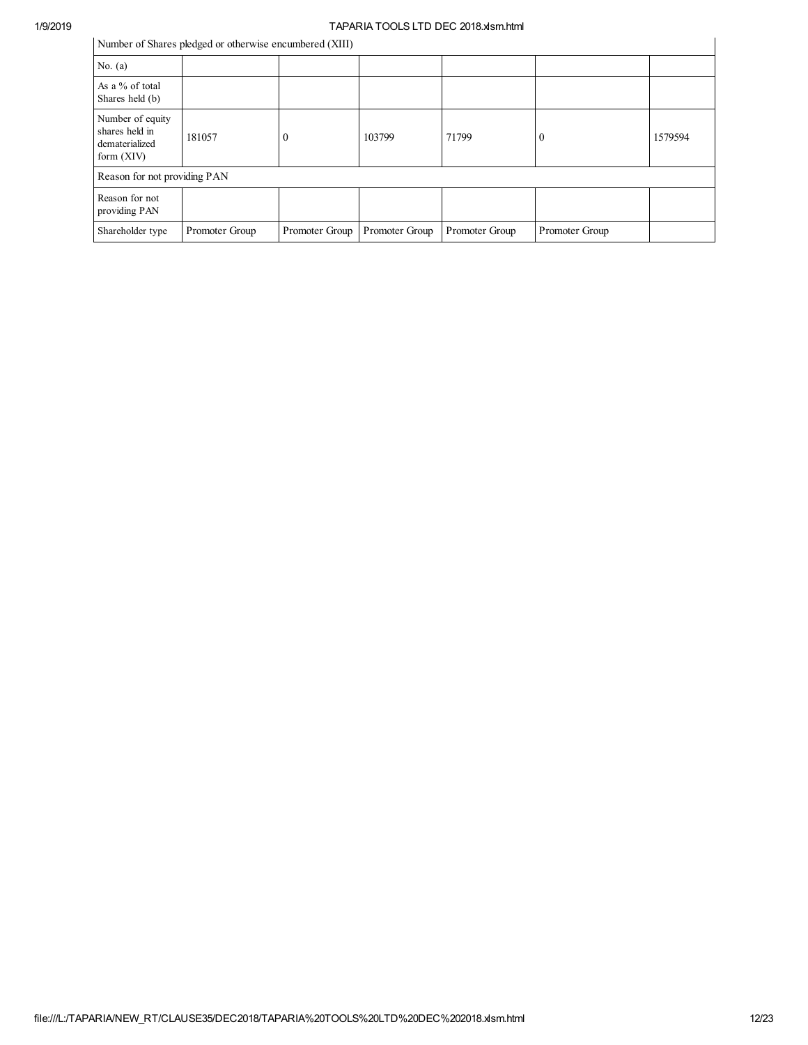# 1/9/2019<br>
Number of Shares aladead as athemuins anaumhand (VIII)

| Number of Shares pledged or otherwise encumbered (XIII) |  |  |  |
|---------------------------------------------------------|--|--|--|
|                                                         |  |  |  |

|                                                                      | Number of Shares pledged or otherwise encumbered (XIII) |                |                |                |                  |         |
|----------------------------------------------------------------------|---------------------------------------------------------|----------------|----------------|----------------|------------------|---------|
| No. $(a)$                                                            |                                                         |                |                |                |                  |         |
| As a % of total<br>Shares held (b)                                   |                                                         |                |                |                |                  |         |
| Number of equity<br>shares held in<br>dematerialized<br>form $(XIV)$ | 181057                                                  | $\Omega$       | 103799         | 71799          | $\boldsymbol{0}$ | 1579594 |
| Reason for not providing PAN                                         |                                                         |                |                |                |                  |         |
| Reason for not<br>providing PAN                                      |                                                         |                |                |                |                  |         |
| Shareholder type                                                     | Promoter Group                                          | Promoter Group | Promoter Group | Promoter Group | Promoter Group   |         |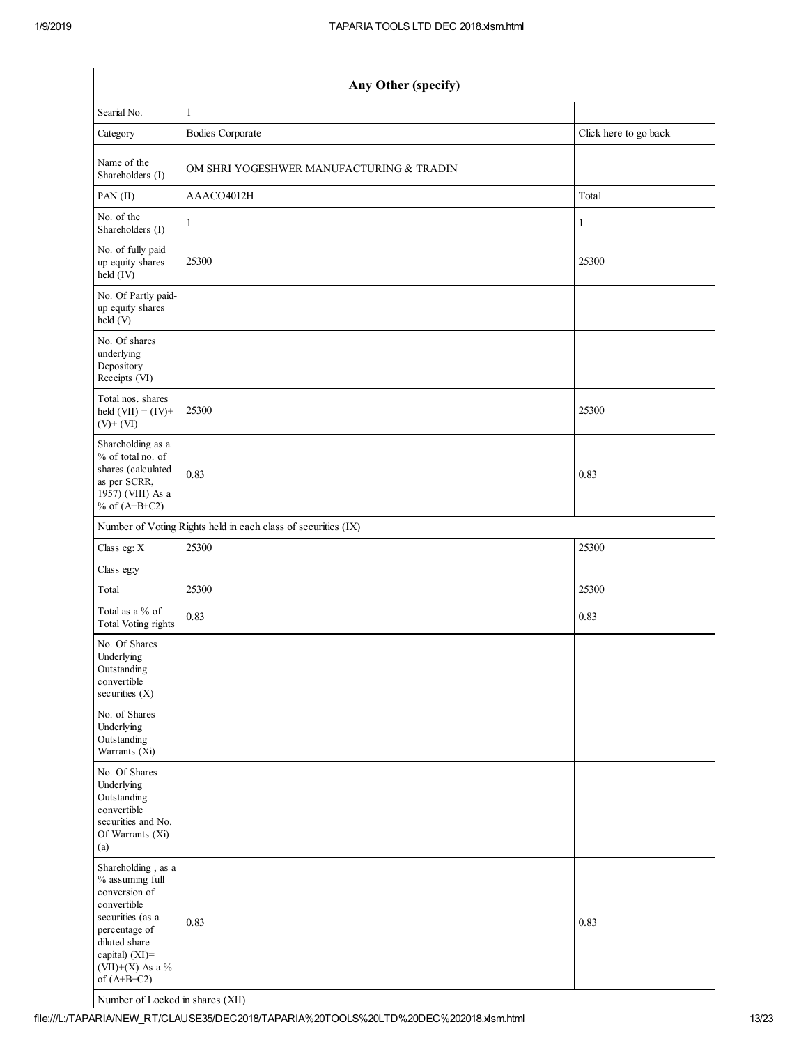| Any Other (specify)                                                                                                                                                                   |                                                               |                       |  |  |  |
|---------------------------------------------------------------------------------------------------------------------------------------------------------------------------------------|---------------------------------------------------------------|-----------------------|--|--|--|
| Searial No.                                                                                                                                                                           | $\mathbf{1}$                                                  |                       |  |  |  |
| Category                                                                                                                                                                              | <b>Bodies Corporate</b>                                       | Click here to go back |  |  |  |
| Name of the<br>Shareholders (I)                                                                                                                                                       | OM SHRI YOGESHWER MANUFACTURING & TRADIN                      |                       |  |  |  |
| PAN (II)                                                                                                                                                                              | AAACO4012H                                                    | Total                 |  |  |  |
| No. of the<br>Shareholders (I)                                                                                                                                                        | $\mathbf{1}$                                                  | $\mathbf{1}$          |  |  |  |
| No. of fully paid<br>up equity shares<br>held (IV)                                                                                                                                    | 25300                                                         | 25300                 |  |  |  |
| No. Of Partly paid-<br>up equity shares<br>held (V)                                                                                                                                   |                                                               |                       |  |  |  |
| No. Of shares<br>underlying<br>Depository<br>Receipts (VI)                                                                                                                            |                                                               |                       |  |  |  |
| Total nos. shares<br>held $(VII) = (IV) +$<br>$(V)$ + $(VI)$                                                                                                                          | 25300                                                         | 25300                 |  |  |  |
| Shareholding as a<br>% of total no. of<br>shares (calculated<br>as per SCRR,<br>1957) (VIII) As a<br>% of $(A+B+C2)$                                                                  | 0.83                                                          | 0.83                  |  |  |  |
|                                                                                                                                                                                       | Number of Voting Rights held in each class of securities (IX) |                       |  |  |  |
| Class eg: X                                                                                                                                                                           | 25300                                                         | 25300                 |  |  |  |
| Class eg:y                                                                                                                                                                            |                                                               |                       |  |  |  |
| Total                                                                                                                                                                                 | 25300                                                         | 25300                 |  |  |  |
| Total as a % of<br><b>Total Voting rights</b>                                                                                                                                         | 0.83                                                          | 0.83                  |  |  |  |
| No. Of Shares<br>Underlying<br>Outstanding<br>convertible<br>securities (X)                                                                                                           |                                                               |                       |  |  |  |
| No. of Shares<br>Underlying<br>Outstanding<br>Warrants (Xi)                                                                                                                           |                                                               |                       |  |  |  |
| No. Of Shares<br>Underlying<br>Outstanding<br>convertible<br>securities and No.<br>Of Warrants (Xi)<br>(a)                                                                            |                                                               |                       |  |  |  |
| Shareholding, as a<br>% assuming full<br>conversion of<br>convertible<br>securities (as a<br>percentage of<br>diluted share<br>capital) $(XI)$ =<br>(VII)+(X) As a %<br>of $(A+B+C2)$ | 0.83                                                          | 0.83                  |  |  |  |

Number of Locked in shares (XII)

file:///L:/TAPARIA/NEW\_RT/CLAUSE35/DEC2018/TAPARIA%20TOOLS%20LTD%20DEC%202018.xlsm.html 13/23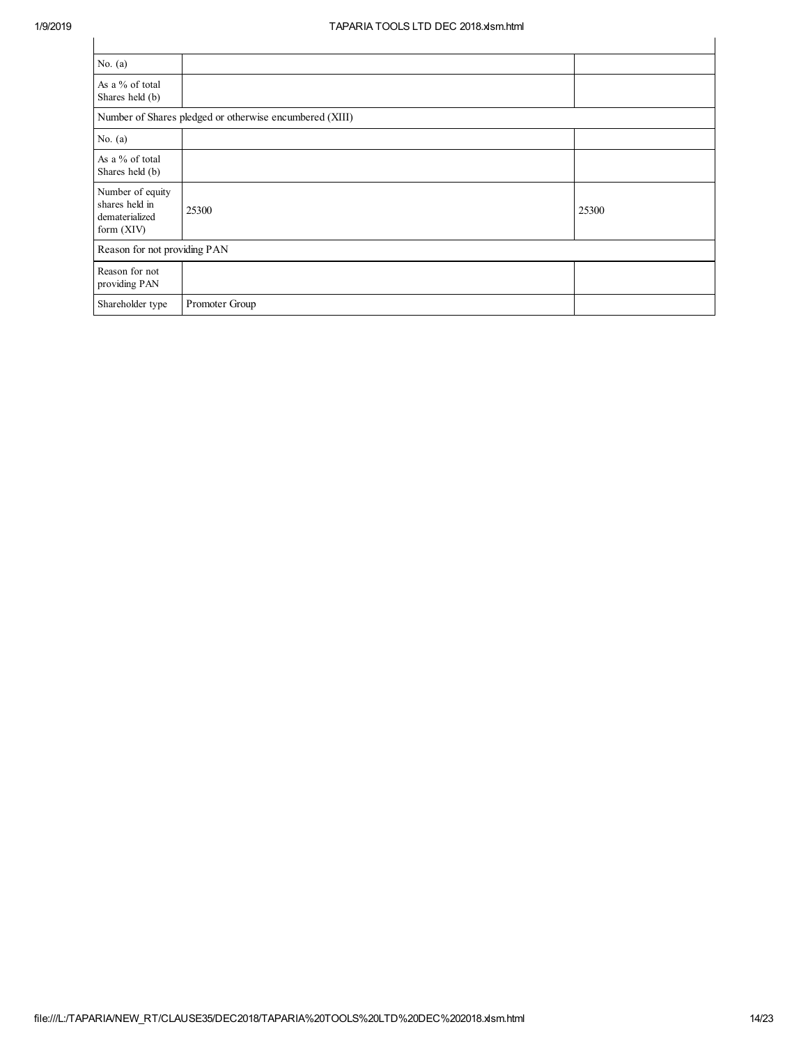| No. $(a)$                                                          |                                                         |       |
|--------------------------------------------------------------------|---------------------------------------------------------|-------|
| As a % of total<br>Shares held (b)                                 |                                                         |       |
|                                                                    | Number of Shares pledged or otherwise encumbered (XIII) |       |
| No. $(a)$                                                          |                                                         |       |
| As a % of total<br>Shares held (b)                                 |                                                         |       |
| Number of equity<br>shares held in<br>dematerialized<br>form (XIV) | 25300                                                   | 25300 |
| Reason for not providing PAN                                       |                                                         |       |
| Reason for not<br>providing PAN                                    |                                                         |       |
| Shareholder type                                                   | Promoter Group                                          |       |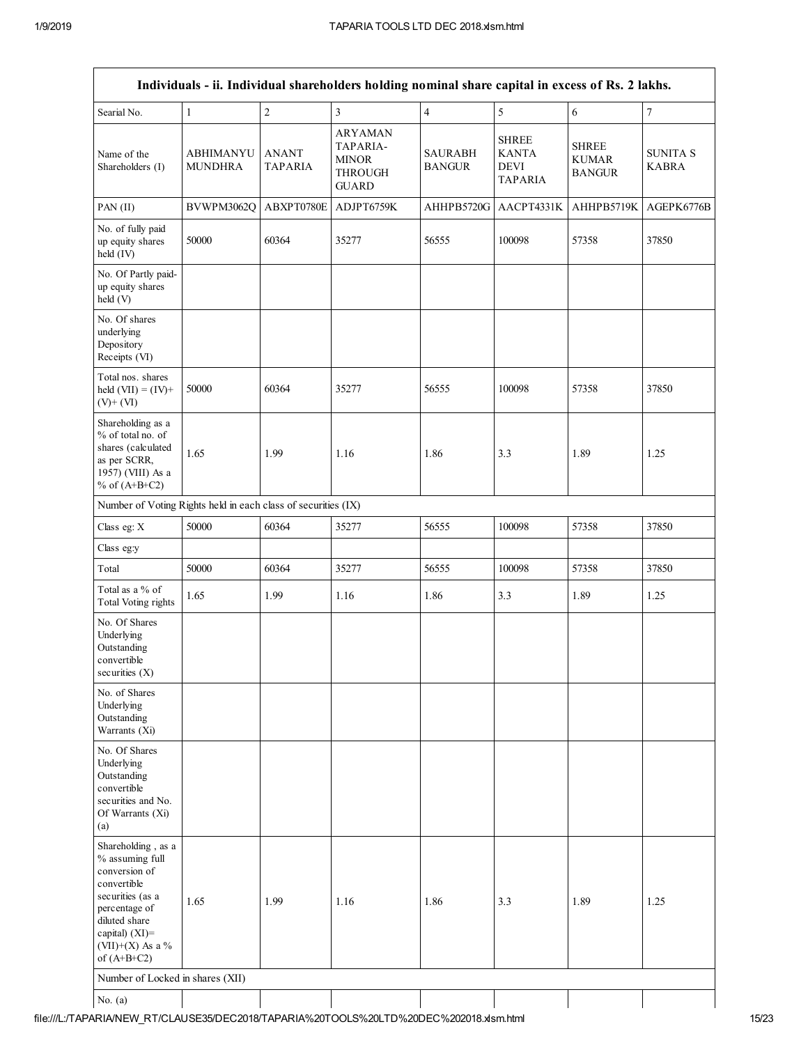| Individuals - ii. Individual shareholders holding nominal share capital in excess of Rs. 2 lakhs.                                                                                     |                                    |                                |                                                                              |                                 |                                                               |                                               |                                 |
|---------------------------------------------------------------------------------------------------------------------------------------------------------------------------------------|------------------------------------|--------------------------------|------------------------------------------------------------------------------|---------------------------------|---------------------------------------------------------------|-----------------------------------------------|---------------------------------|
| Searial No.                                                                                                                                                                           | $\mathbf{1}$                       | $\sqrt{2}$                     | $\overline{\mathbf{3}}$                                                      | $\overline{4}$                  | 5                                                             | 6                                             | $\overline{7}$                  |
| Name of the<br>Shareholders (I)                                                                                                                                                       | <b>ABHIMANYU</b><br><b>MUNDHRA</b> | <b>ANANT</b><br><b>TAPARIA</b> | <b>ARYAMAN</b><br>TAPARIA-<br><b>MINOR</b><br><b>THROUGH</b><br><b>GUARD</b> | <b>SAURABH</b><br><b>BANGUR</b> | <b>SHREE</b><br><b>KANTA</b><br><b>DEVI</b><br><b>TAPARIA</b> | <b>SHREE</b><br><b>KUMAR</b><br><b>BANGUR</b> | <b>SUNITA S</b><br><b>KABRA</b> |
| $PAN$ (II)                                                                                                                                                                            | BVWPM3062Q                         | ABXPT0780E                     | ADJPT6759K                                                                   | AHHPB5720G                      | AACPT4331K                                                    | AHHPB5719K                                    | AGEPK6776B                      |
| No. of fully paid<br>up equity shares<br>held (IV)                                                                                                                                    | 50000                              | 60364                          | 35277                                                                        | 56555                           | 100098                                                        | 57358                                         | 37850                           |
| No. Of Partly paid-<br>up equity shares<br>held (V)                                                                                                                                   |                                    |                                |                                                                              |                                 |                                                               |                                               |                                 |
| No. Of shares<br>underlying<br>Depository<br>Receipts (VI)                                                                                                                            |                                    |                                |                                                                              |                                 |                                                               |                                               |                                 |
| Total nos. shares<br>held $(VII) = (IV) +$<br>$(V)$ + $(VI)$                                                                                                                          | 50000                              | 60364                          | 35277                                                                        | 56555                           | 100098                                                        | 57358                                         | 37850                           |
| Shareholding as a<br>% of total no. of<br>shares (calculated<br>as per SCRR,<br>1957) (VIII) As a<br>% of $(A+B+C2)$                                                                  | 1.65                               | 1.99                           | 1.16                                                                         | 1.86                            | 3.3                                                           | 1.89                                          | 1.25                            |
| Number of Voting Rights held in each class of securities (IX)                                                                                                                         |                                    |                                |                                                                              |                                 |                                                               |                                               |                                 |
| Class eg: X                                                                                                                                                                           | 50000                              | 60364                          | 35277                                                                        | 56555                           | 100098                                                        | 57358                                         | 37850                           |
| Class eg:y                                                                                                                                                                            |                                    |                                |                                                                              |                                 |                                                               |                                               |                                 |
| Total                                                                                                                                                                                 | 50000                              | 60364                          | 35277                                                                        | 56555                           | 100098                                                        | 57358                                         | 37850                           |
| Total as a % of<br><b>Total Voting rights</b>                                                                                                                                         | 1.65                               | 1.99                           | 1.16                                                                         | 1.86                            | 3.3                                                           | 1.89                                          | 1.25                            |
| No. Of Shares<br>Underlying<br>Outstanding<br>convertible<br>securities (X)                                                                                                           |                                    |                                |                                                                              |                                 |                                                               |                                               |                                 |
| No. of Shares<br>Underlying<br>Outstanding<br>Warrants (Xi)                                                                                                                           |                                    |                                |                                                                              |                                 |                                                               |                                               |                                 |
| No. Of Shares<br>Underlying<br>Outstanding<br>convertible<br>securities and No.<br>Of Warrants (Xi)<br>(a)                                                                            |                                    |                                |                                                                              |                                 |                                                               |                                               |                                 |
| Shareholding, as a<br>% assuming full<br>conversion of<br>convertible<br>securities (as a<br>percentage of<br>diluted share<br>capital) $(XI)$ =<br>(VII)+(X) As a %<br>of $(A+B+C2)$ | 1.65                               | 1.99                           | 1.16                                                                         | 1.86                            | 3.3                                                           | 1.89                                          | 1.25                            |
| Number of Locked in shares (XII)                                                                                                                                                      |                                    |                                |                                                                              |                                 |                                                               |                                               |                                 |
| No. $(a)$                                                                                                                                                                             |                                    |                                |                                                                              |                                 |                                                               |                                               |                                 |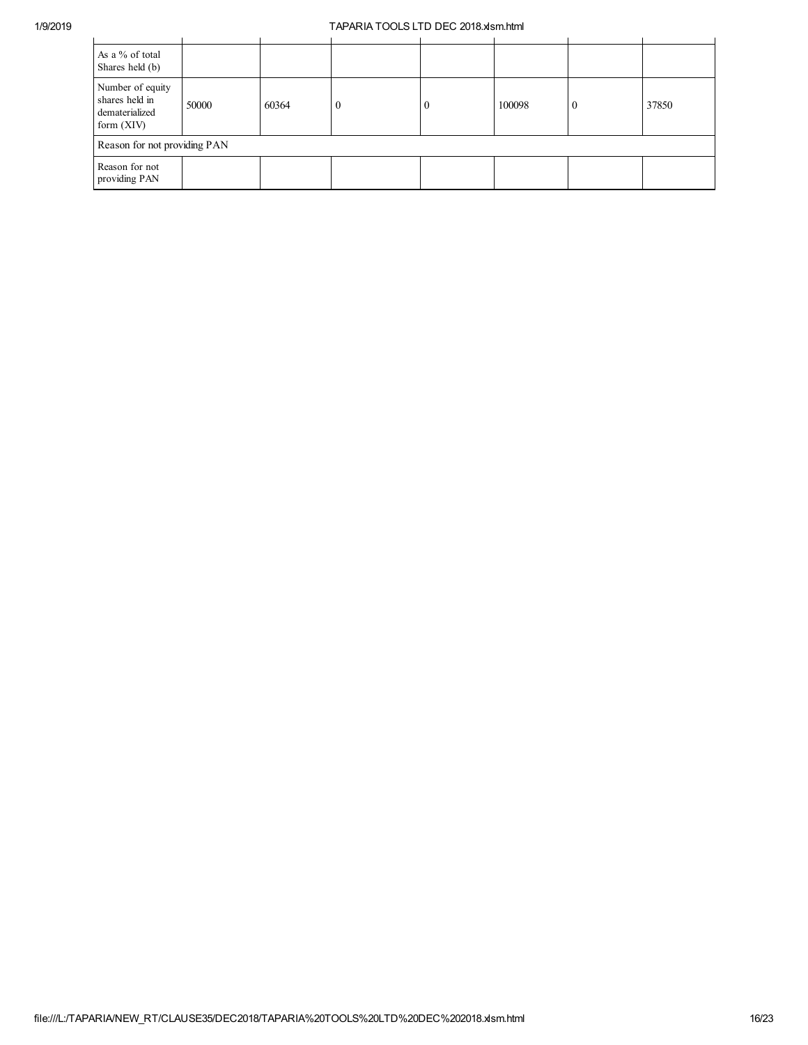| As a % of total<br>Shares held (b)                                   |       |       |  |          |        |       |
|----------------------------------------------------------------------|-------|-------|--|----------|--------|-------|
| Number of equity<br>shares held in<br>dematerialized<br>form $(XIV)$ | 50000 | 60364 |  | $\theta$ | 100098 | 37850 |
| Reason for not providing PAN                                         |       |       |  |          |        |       |
| Reason for not<br>providing PAN                                      |       |       |  |          |        |       |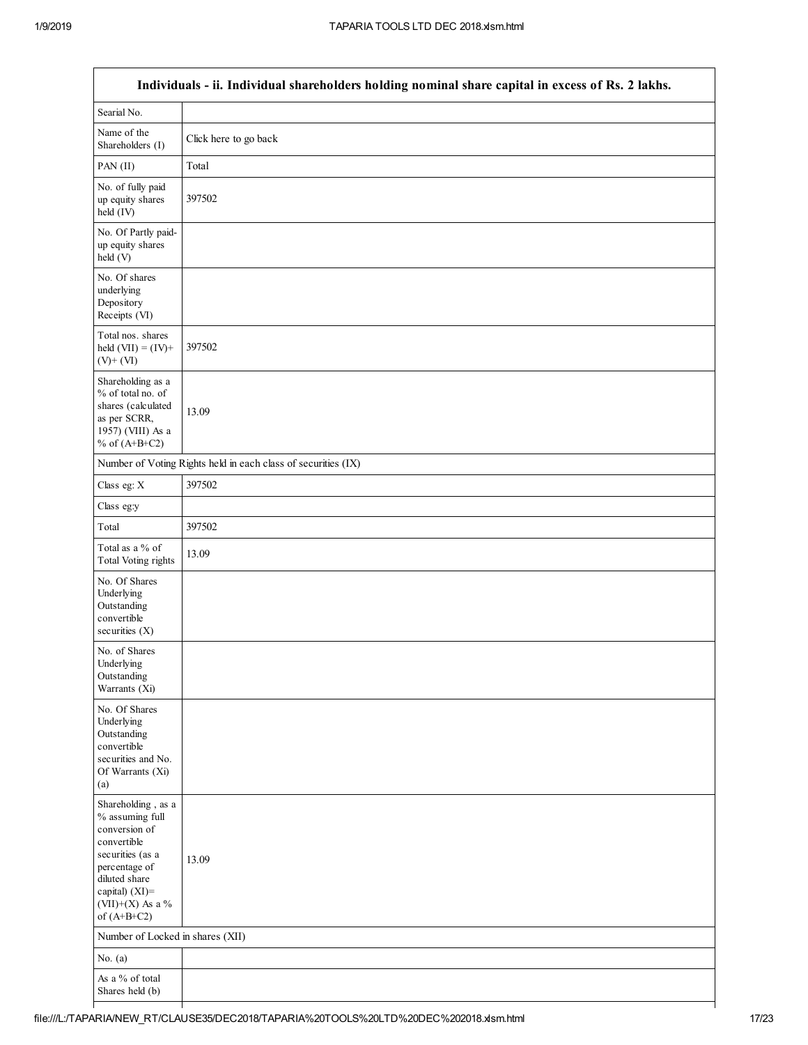$\Gamma$ 

| Individuals - ii. Individual shareholders holding nominal share capital in excess of Rs. 2 lakhs.                                                                                  |                                                               |  |  |  |  |  |
|------------------------------------------------------------------------------------------------------------------------------------------------------------------------------------|---------------------------------------------------------------|--|--|--|--|--|
| Searial No.                                                                                                                                                                        |                                                               |  |  |  |  |  |
| Name of the<br>Shareholders (I)                                                                                                                                                    | Click here to go back                                         |  |  |  |  |  |
| PAN (II)                                                                                                                                                                           | Total                                                         |  |  |  |  |  |
| No. of fully paid<br>up equity shares<br>held (IV)                                                                                                                                 | 397502                                                        |  |  |  |  |  |
| No. Of Partly paid-<br>up equity shares<br>held (V)                                                                                                                                |                                                               |  |  |  |  |  |
| No. Of shares<br>underlying<br>Depository<br>Receipts (VI)                                                                                                                         |                                                               |  |  |  |  |  |
| Total nos. shares<br>held $(VII) = (IV) +$<br>$(V)$ + $(VI)$                                                                                                                       | 397502                                                        |  |  |  |  |  |
| Shareholding as a<br>% of total no. of<br>shares (calculated<br>as per SCRR,<br>1957) (VIII) As a<br>% of $(A+B+C2)$                                                               | 13.09                                                         |  |  |  |  |  |
|                                                                                                                                                                                    | Number of Voting Rights held in each class of securities (IX) |  |  |  |  |  |
| Class eg: X                                                                                                                                                                        | 397502                                                        |  |  |  |  |  |
| Class eg:y                                                                                                                                                                         |                                                               |  |  |  |  |  |
| Total                                                                                                                                                                              | 397502                                                        |  |  |  |  |  |
| Total as a % of<br>Total Voting rights                                                                                                                                             | 13.09                                                         |  |  |  |  |  |
| No. Of Shares<br>Underlying<br>Outstanding<br>convertible<br>securities $(X)$                                                                                                      |                                                               |  |  |  |  |  |
| No. of Shares<br>Underlying<br>Outstanding<br>Warrants (Xi)                                                                                                                        |                                                               |  |  |  |  |  |
| No. Of Shares<br>Underlying<br>Outstanding<br>convertible<br>securities and No.<br>Of Warrants (Xi)<br>(a)                                                                         |                                                               |  |  |  |  |  |
| Shareholding, as a<br>% assuming full<br>conversion of<br>convertible<br>securities (as a<br>percentage of<br>diluted share<br>capital) (XI)=<br>(VII)+(X) As a %<br>of $(A+B+C2)$ | 13.09                                                         |  |  |  |  |  |
| Number of Locked in shares (XII)                                                                                                                                                   |                                                               |  |  |  |  |  |
| No. $(a)$                                                                                                                                                                          |                                                               |  |  |  |  |  |
| As a $\%$ of total<br>Shares held (b)                                                                                                                                              |                                                               |  |  |  |  |  |

┑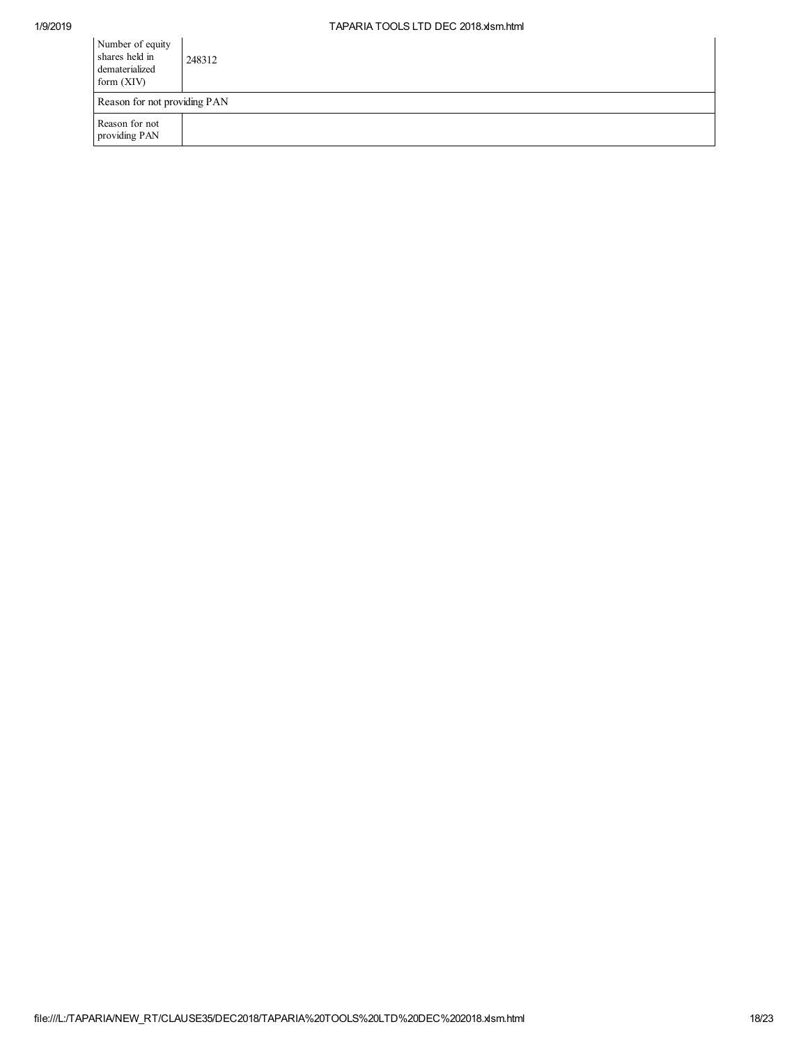| Number of equity<br>shares held in<br>dematerialized<br>form $(XIV)$ | 248312 |
|----------------------------------------------------------------------|--------|
| Reason for not providing PAN                                         |        |
| Reason for not<br>providing PAN                                      |        |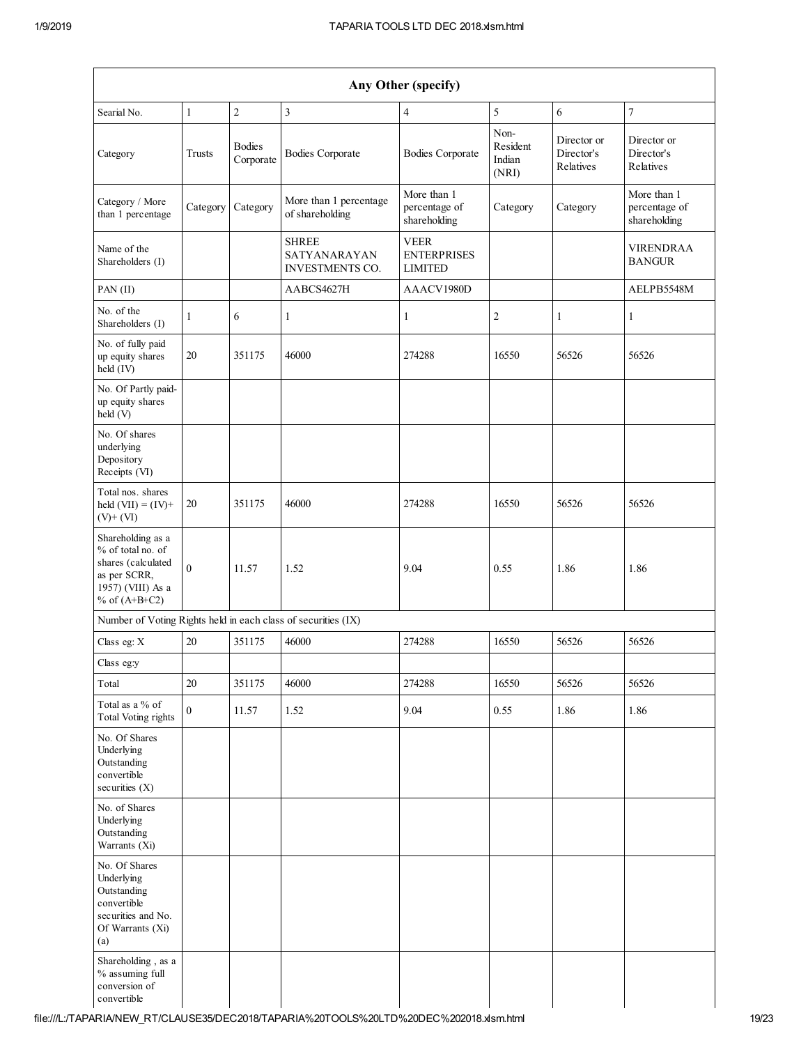| Any Other (specify)                                                                                                  |              |                            |                                                        |                                                     |                                     |                                        |                                              |
|----------------------------------------------------------------------------------------------------------------------|--------------|----------------------------|--------------------------------------------------------|-----------------------------------------------------|-------------------------------------|----------------------------------------|----------------------------------------------|
| Searial No.                                                                                                          | $\mathbf{1}$ | $\overline{c}$             | 3                                                      | $\overline{4}$                                      | 5                                   | 6                                      | $\overline{7}$                               |
| Category                                                                                                             | Trusts       | <b>Bodies</b><br>Corporate | <b>Bodies Corporate</b>                                | <b>Bodies Corporate</b>                             | Non-<br>Resident<br>Indian<br>(NRI) | Director or<br>Director's<br>Relatives | Director or<br>Director's<br>Relatives       |
| Category / More<br>than 1 percentage                                                                                 | Category     | Category                   | More than 1 percentage<br>of shareholding              | More than 1<br>percentage of<br>shareholding        | Category                            | Category                               | More than 1<br>percentage of<br>shareholding |
| Name of the<br>Shareholders (I)                                                                                      |              |                            | <b>SHREE</b><br>SATYANARAYAN<br><b>INVESTMENTS CO.</b> | <b>VEER</b><br><b>ENTERPRISES</b><br><b>LIMITED</b> |                                     |                                        | <b>VIRENDRAA</b><br><b>BANGUR</b>            |
| PAN (II)                                                                                                             |              |                            | AABCS4627H                                             | AAACV1980D                                          |                                     |                                        | AELPB5548M                                   |
| No. of the<br>Shareholders (I)                                                                                       | $\mathbf{1}$ | 6                          | 1                                                      | 1                                                   | 2                                   | 1                                      | $\mathbf{1}$                                 |
| No. of fully paid<br>up equity shares<br>held (IV)                                                                   | 20           | 351175                     | 46000                                                  | 274288                                              | 16550                               | 56526                                  | 56526                                        |
| No. Of Partly paid-<br>up equity shares<br>held (V)                                                                  |              |                            |                                                        |                                                     |                                     |                                        |                                              |
| No. Of shares<br>underlying<br>Depository<br>Receipts (VI)                                                           |              |                            |                                                        |                                                     |                                     |                                        |                                              |
| Total nos. shares<br>held $(VII) = (IV) +$<br>$(V)$ + $(VI)$                                                         | $20\,$       | 351175                     | 46000                                                  | 274288                                              | 16550                               | 56526                                  | 56526                                        |
| Shareholding as a<br>% of total no. of<br>shares (calculated<br>as per SCRR,<br>1957) (VIII) As a<br>% of $(A+B+C2)$ | $\mathbf{0}$ | 11.57                      | 1.52                                                   | 9.04                                                | 0.55                                | 1.86                                   | 1.86                                         |
| Number of Voting Rights held in each class of securities (IX)                                                        |              |                            |                                                        |                                                     |                                     |                                        |                                              |
| Class eg: X                                                                                                          | 20           | 351175                     | 46000                                                  | 274288                                              | 16550                               | 56526                                  | 56526                                        |
| Class eg:y                                                                                                           |              |                            |                                                        |                                                     |                                     |                                        |                                              |
| Total                                                                                                                | 20           | 351175                     | 46000                                                  | 274288                                              | 16550                               | 56526                                  | 56526                                        |
| Total as a % of<br><b>Total Voting rights</b>                                                                        | $\mathbf{0}$ | 11.57                      | 1.52                                                   | 9.04                                                | 0.55                                | 1.86                                   | 1.86                                         |
| No. Of Shares<br>Underlying<br>Outstanding<br>convertible<br>securities (X)                                          |              |                            |                                                        |                                                     |                                     |                                        |                                              |
| No. of Shares<br>Underlying<br>Outstanding<br>Warrants (Xi)                                                          |              |                            |                                                        |                                                     |                                     |                                        |                                              |
| No. Of Shares<br>Underlying<br>Outstanding<br>convertible<br>securities and No.<br>Of Warrants (Xi)<br>(a)           |              |                            |                                                        |                                                     |                                     |                                        |                                              |
| Shareholding, as a<br>% assuming full<br>conversion of<br>convertible                                                |              |                            |                                                        |                                                     |                                     |                                        |                                              |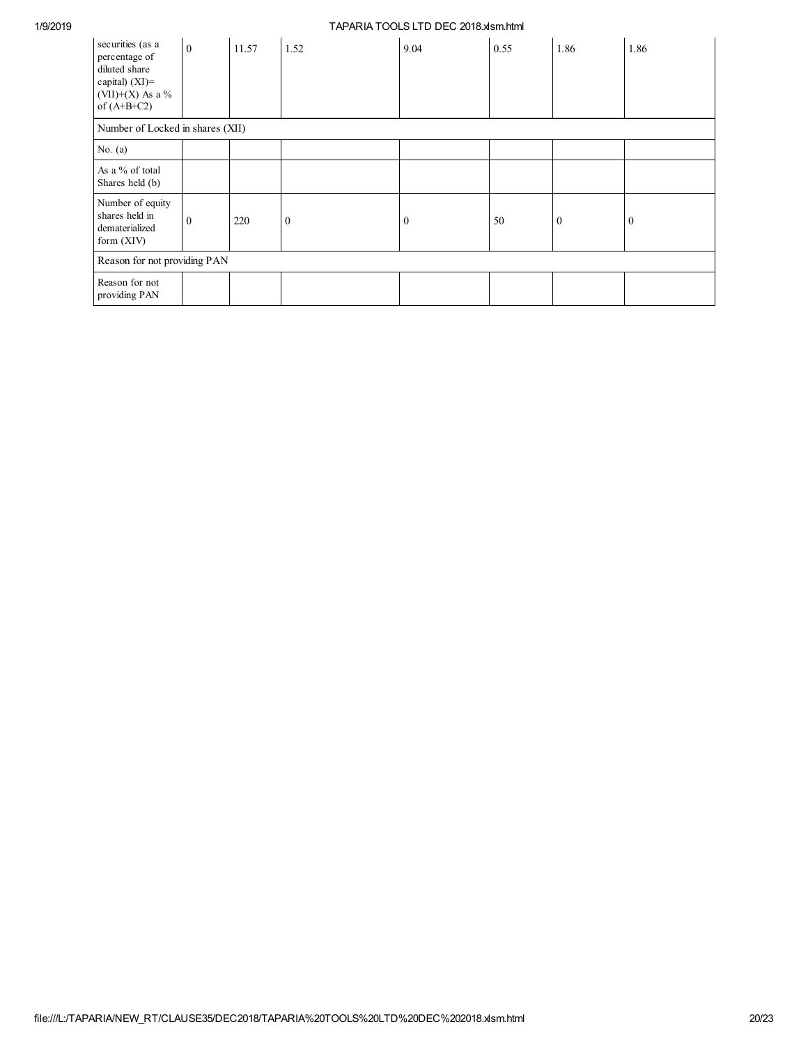| securities (as a<br>percentage of<br>diluted share<br>capital) (XI)=<br>(VII)+(X) As a %<br>of $(A+B+C2)$ | $\mathbf{0}$ | 11.57 | 1.52           | 9.04     | 0.55 | 1.86         | 1.86         |
|-----------------------------------------------------------------------------------------------------------|--------------|-------|----------------|----------|------|--------------|--------------|
| Number of Locked in shares (XII)                                                                          |              |       |                |          |      |              |              |
| No. $(a)$                                                                                                 |              |       |                |          |      |              |              |
| As a % of total<br>Shares held (b)                                                                        |              |       |                |          |      |              |              |
| Number of equity<br>shares held in<br>dematerialized<br>form (XIV)                                        | $\mathbf{0}$ | 220   | $\overline{0}$ | $\bf{0}$ | 50   | $\mathbf{0}$ | $\mathbf{0}$ |
| Reason for not providing PAN                                                                              |              |       |                |          |      |              |              |
| Reason for not<br>providing PAN                                                                           |              |       |                |          |      |              |              |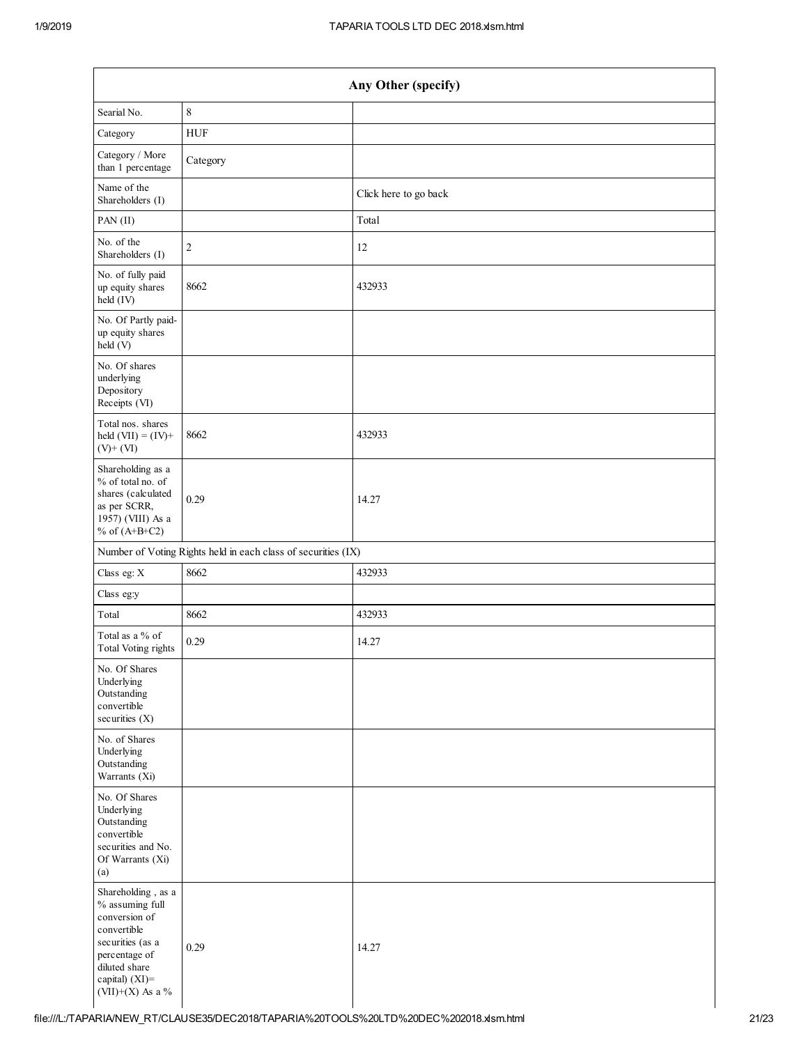| Any Other (specify)                                                                                                                                               |                                                               |                       |  |  |  |
|-------------------------------------------------------------------------------------------------------------------------------------------------------------------|---------------------------------------------------------------|-----------------------|--|--|--|
| Searial No.                                                                                                                                                       | $\,8\,$                                                       |                       |  |  |  |
| Category                                                                                                                                                          | <b>HUF</b>                                                    |                       |  |  |  |
| Category / More<br>than 1 percentage                                                                                                                              | Category                                                      |                       |  |  |  |
| Name of the<br>Shareholders (I)                                                                                                                                   |                                                               | Click here to go back |  |  |  |
| PAN (II)                                                                                                                                                          |                                                               | Total                 |  |  |  |
| No. of the<br>Shareholders (I)                                                                                                                                    | $\sqrt{2}$                                                    | 12                    |  |  |  |
| No. of fully paid<br>up equity shares<br>held (IV)                                                                                                                | 8662                                                          | 432933                |  |  |  |
| No. Of Partly paid-<br>up equity shares<br>held (V)                                                                                                               |                                                               |                       |  |  |  |
| No. Of shares<br>underlying<br>Depository<br>Receipts (VI)                                                                                                        |                                                               |                       |  |  |  |
| Total nos. shares<br>held $(VII) = (IV) +$<br>$(V)$ + $(VI)$                                                                                                      | 8662                                                          | 432933                |  |  |  |
| Shareholding as a<br>% of total no. of<br>shares (calculated<br>as per SCRR,<br>1957) (VIII) As a<br>% of $(A+B+C2)$                                              | 0.29                                                          | 14.27                 |  |  |  |
|                                                                                                                                                                   | Number of Voting Rights held in each class of securities (IX) |                       |  |  |  |
| Class eg: X                                                                                                                                                       | 8662                                                          | 432933                |  |  |  |
| Class eg:y                                                                                                                                                        |                                                               |                       |  |  |  |
| Total                                                                                                                                                             | 8662                                                          | 432933                |  |  |  |
| Total as a % of<br><b>Total Voting rights</b>                                                                                                                     | 0.29                                                          | 14.27                 |  |  |  |
| No. Of Shares<br>Underlying<br>Outstanding<br>convertible<br>securities (X)                                                                                       |                                                               |                       |  |  |  |
| No. of Shares<br>Underlying<br>Outstanding<br>Warrants (Xi)                                                                                                       |                                                               |                       |  |  |  |
| No. Of Shares<br>Underlying<br>Outstanding<br>convertible<br>securities and No.<br>Of Warrants (Xi)<br>(a)                                                        |                                                               |                       |  |  |  |
| Shareholding, as a<br>% assuming full<br>conversion of<br>convertible<br>securities (as a<br>percentage of<br>diluted share<br>capital) (XI)=<br>(VII)+(X) As a % | 0.29                                                          | 14.27                 |  |  |  |